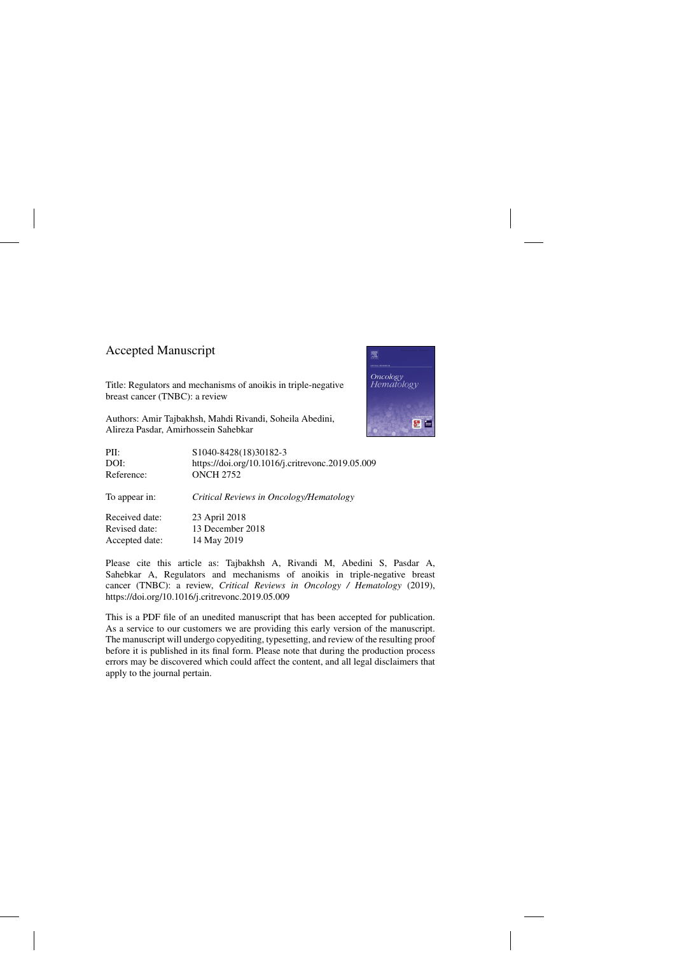### Accepted Manuscript

Title: Regulators and mechanisms of anoikis in triple-negative breast cancer (TNBC): a review

Authors: Amir Tajbakhsh, Mahdi Rivandi, Soheila Abedini, Alireza Pasdar, Amirhossein Sahebkar



Please cite this article as: Tajbakhsh A, Rivandi M, Abedini S, Pasdar A, Sahebkar A, Regulators and mechanisms of anoikis in triple-negative breast cancer (TNBC): a review, *Critical Reviews in Oncology / Hematology* (2019), <https://doi.org/10.1016/j.critrevonc.2019.05.009>

This is a PDF file of an unedited manuscript that has been accepted for publication. As a service to our customers we are providing this early version of the manuscript. The manuscript will undergo copyediting, typesetting, and review of the resulting proof before it is published in its final form. Please note that during the production process errors may be discovered which could affect the content, and all legal disclaimers that apply to the journal pertain.

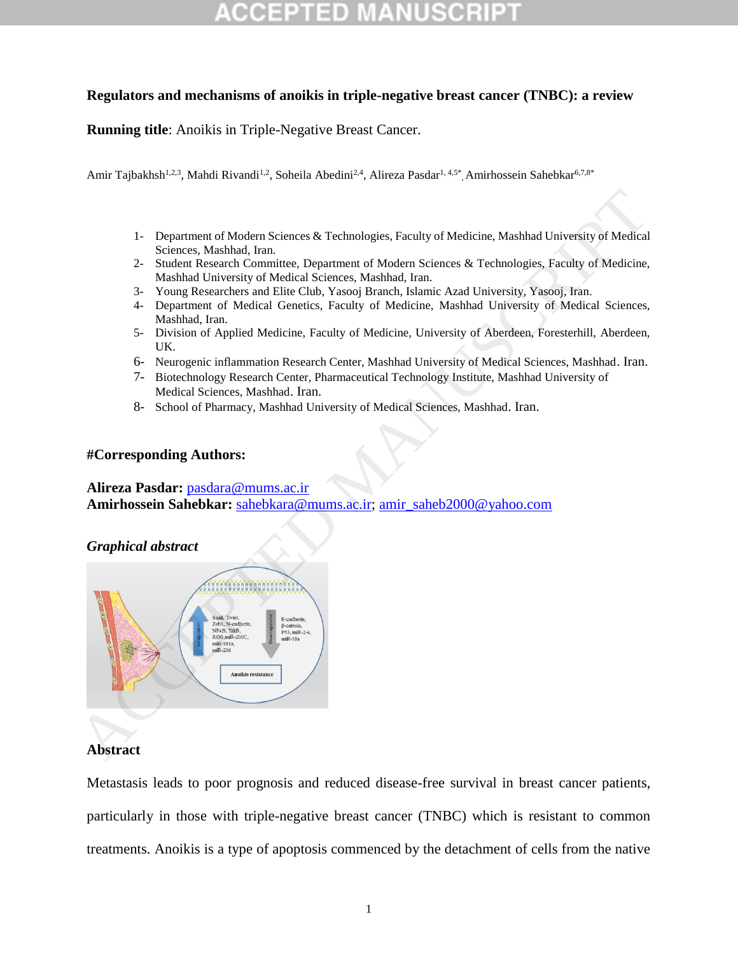### **Regulators and mechanisms of anoikis in triple-negative breast cancer (TNBC): a review**

**Running title**: Anoikis in Triple-Negative Breast Cancer.

Amir Tajbakhsh<sup>1,2,3</sup>, Mahdi Rivandi<sup>1,2</sup>, Soheila Abedini<sup>2,4</sup>, Alireza Pasdar<sup>1, 4,5\*</sup>, Amirhossein Sahebkar<sup>6,7,8\*</sup>

- 1- Department of Modern Sciences & Technologies, Faculty of Medicine, Mashhad University of Medical Sciences, Mashhad, Iran.
- 2- Student Research Committee, Department of Modern Sciences & Technologies, Faculty of Medicine, Mashhad University of Medical Sciences, Mashhad, Iran.
- 3- Young Researchers and Elite Club, Yasooj Branch, Islamic Azad University, Yasooj, Iran.
- 4- Department of Medical Genetics, Faculty of Medicine, Mashhad University of Medical Sciences, Mashhad, Iran.
- 5- Division of Applied Medicine, Faculty of Medicine, University of Aberdeen, Foresterhill, Aberdeen, UK.
- 6- Neurogenic inflammation Research Center, Mashhad University of Medical Sciences, Mashhad. Iran.
- 7- Biotechnology Research Center, Pharmaceutical Technology Institute, Mashhad University of Medical Sciences, Mashhad. Iran.
- 8- School of Pharmacy, Mashhad University of Medical Sciences, Mashhad. Iran.

### **#Corresponding Authors:**

**Alireza Pasdar:** pasdara@mums.ac.ir **Amirhossein Sahebkar:** sahebkara@mums.ac.ir; amir\_saheb2000@yahoo.com

### *Graphical abstract*



### **Abstract**

Metastasis leads to poor prognosis and reduced disease-free survival in breast cancer patients, particularly in those with triple-negative breast cancer (TNBC) which is resistant to common treatments. Anoikis is a type of apoptosis commenced by the detachment of cells from the native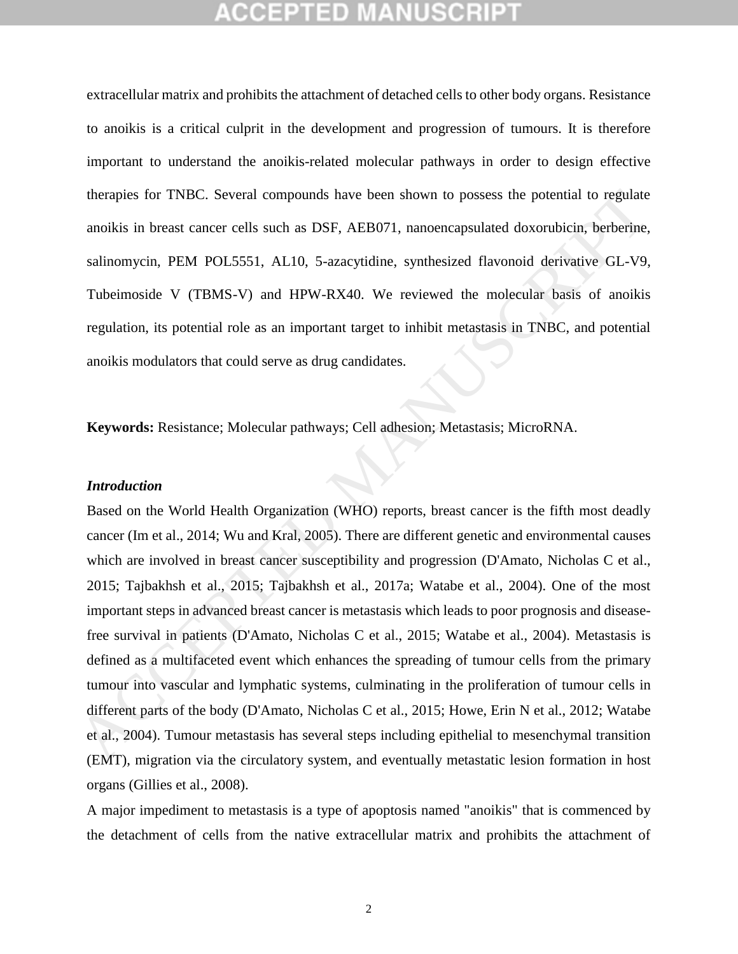extracellular matrix and prohibits the attachment of detached cells to other body organs. Resistance to anoikis is a critical culprit in the development and progression of tumours. It is therefore important to understand the anoikis-related molecular pathways in order to design effective therapies for TNBC. Several compounds have been shown to possess the potential to regulate anoikis in breast cancer cells such as DSF, AEB071, nanoencapsulated doxorubicin, berberine, salinomycin, PEM POL5551, AL10, 5-azacytidine, synthesized flavonoid derivative GL-V9, Tubeimoside V (TBMS-V) and HPW-RX40. We reviewed the molecular basis of anoikis regulation, its potential role as an important target to inhibit metastasis in TNBC, and potential anoikis modulators that could serve as drug candidates.

**Keywords:** Resistance; Molecular pathways; Cell adhesion; Metastasis; MicroRNA.

#### *Introduction*

Based on the World Health Organization (WHO) reports, breast cancer is the fifth most deadly cancer (Im et al., 2014; Wu and Kral, 2005). There are different genetic and environmental causes which are involved in breast cancer susceptibility and progression (D'Amato, Nicholas C et al., 2015; Tajbakhsh et al., 2015; Tajbakhsh et al., 2017a; Watabe et al., 2004). One of the most important steps in advanced breast cancer is metastasis which leads to poor prognosis and diseasefree survival in patients (D'Amato, Nicholas C et al., 2015; Watabe et al., 2004). Metastasis is defined as a multifaceted event which enhances the spreading of tumour cells from the primary tumour into vascular and lymphatic systems, culminating in the proliferation of tumour cells in different parts of the body (D'Amato, Nicholas C et al., 2015; Howe, Erin N et al., 2012; Watabe et al., 2004). Tumour metastasis has several steps including epithelial to mesenchymal transition (EMT), migration via the circulatory system, and eventually metastatic lesion formation in host organs [\(Gillies et al., 2008\)](#page-20-0). therapies for TNBC. Several compounds have been shown to possess the potential to regulate<br>amoikis in breast cancer cells such as DSF, AEB071, nanoencapsulated doxorubicin, berberine,<br>salinomycin. PEM POL5551, AL10, 5-aza

A major impediment to metastasis is a type of apoptosis named "anoikis" that is commenced by the detachment of cells from the native extracellular matrix and prohibits the attachment of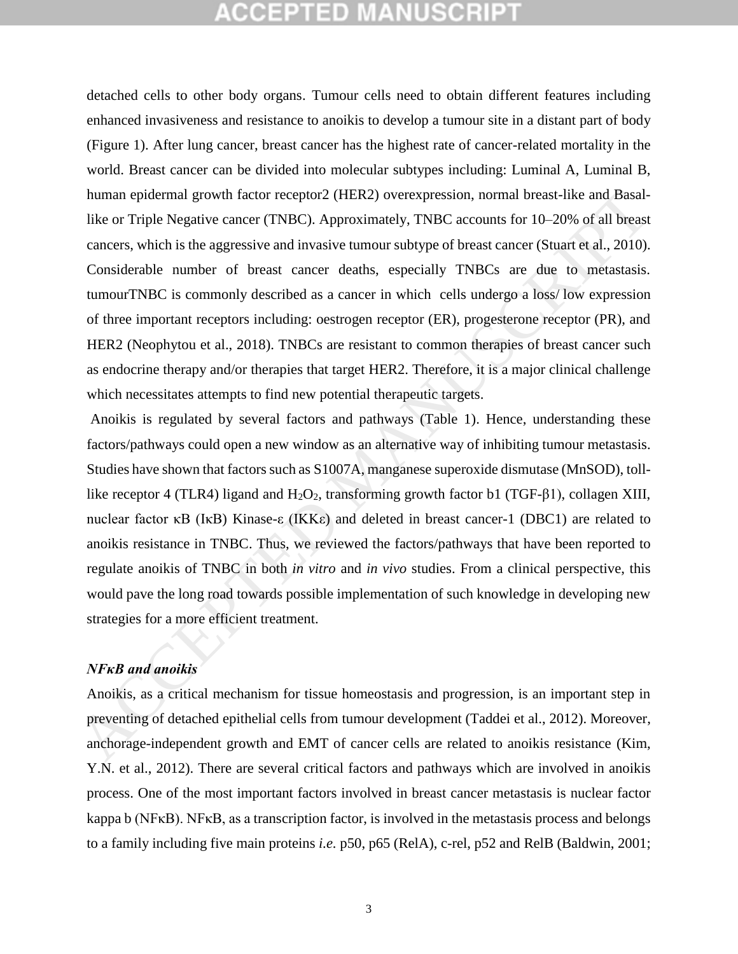detached cells to other body organs. Tumour cells need to obtain different features including enhanced invasiveness and resistance to anoikis to develop a tumour site in a distant part of body (Figure 1). After lung cancer, breast cancer has the highest rate of cancer-related mortality in the world. Breast cancer can be divided into molecular subtypes including: Luminal A, Luminal B, human epidermal growth factor receptor2 (HER2) overexpression, normal breast-like and Basallike or Triple Negative cancer (TNBC). Approximately, TNBC accounts for 10–20% of all breast cancers, which is the aggressive and invasive tumour subtype of breast cancer (Stuart et al., 2010). Considerable number of breast cancer deaths, especially TNBCs are due to metastasis. tumourTNBC is commonly described as a cancer in which cells undergo a loss/ low expression of three important receptors including: oestrogen receptor (ER), progesterone receptor (PR), and HER2 (Neophytou et al., 2018). TNBCs are resistant to common therapies of breast cancer such as endocrine therapy and/or therapies that target HER2. Therefore, it is a major clinical challenge which necessitates attempts to find new potential therapeutic targets. human epidermal growth factor receptor2 (HER2) overexpression, normal breas-like and Basal-<br>like or Triple Negative cancer (TNBC). Approximately, TNBC accounts for 10-20% of all breas<br>calces, which is the aggressive and i

Anoikis is regulated by several factors and pathways (Table 1). Hence, understanding these factors/pathways could open a new window as an alternative way of inhibiting tumour metastasis. Studies have shown that factors such as S1007A, manganese superoxide dismutase (MnSOD), tolllike receptor 4 (TLR4) ligand and  $H_2O_2$ , transforming growth factor b1 (TGF-β1), collagen XIII, nuclear factor κB (IκB) Kinase-ε (IKKε) and deleted in breast cancer-1 (DBC1) are related to anoikis resistance in TNBC. Thus, we reviewed the factors/pathways that have been reported to regulate anoikis of TNBC in both *in vitro* and *in vivo* studies. From a clinical perspective, this would pave the long road towards possible implementation of such knowledge in developing new strategies for a more efficient treatment.

### *NFκB and anoikis*

Anoikis, as a critical mechanism for tissue homeostasis and progression, is an important step in preventing of detached epithelial cells from tumour development (Taddei et al., 2012). Moreover, anchorage-independent growth and EMT of cancer cells are related to anoikis resistance (Kim, [Y.N. et al., 2012\)](#page-21-2). There are several critical factors and pathways which are involved in anoikis process. One of the most important factors involved in breast cancer metastasis is nuclear factor kappa b (NFκB). NFκB, as a transcription factor, is involved in the metastasis process and belongs to a family including five main proteins *i.e.* p50, p65 (RelA), c-rel, p52 and RelB (Baldwin, 2001;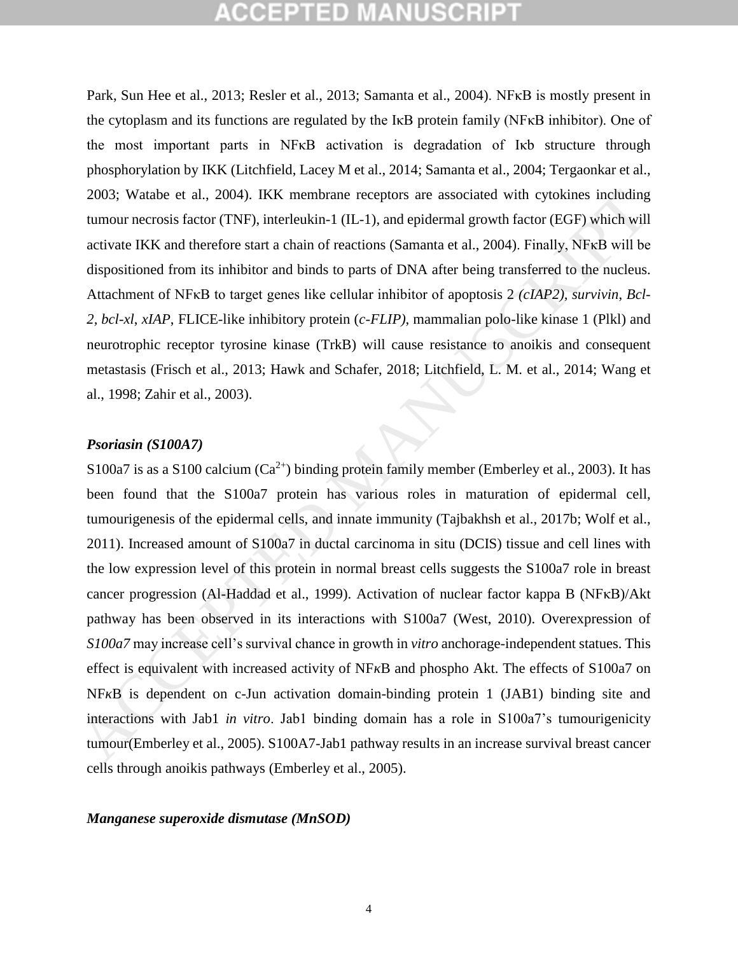Park, Sun Hee et al., 2013; Resler et al., 2013; Samanta et al., 2004). NFκB is mostly present in the cytoplasm and its functions are regulated by the IκB protein family (NFκB inhibitor). One of the most important parts in NFκB activation is degradation of Iκb structure through phosphorylation by IKK [\(Litchfield, Lacey M et al., 2014;](#page-22-1) [Samanta et al., 2004;](#page-23-3) [Tergaonkar et al.,](#page-24-3)  2003; Watabe et al., 2004). IKK membrane receptors are associated with cytokines including tumour necrosis factor (TNF), interleukin-1 (IL-1), and epidermal growth factor (EGF) which will activate IKK and therefore start a chain of reactions (Samanta et al., 2004). Finally, NFκB will be dispositioned from its inhibitor and binds to parts of DNA after being transferred to the nucleus. Attachment of NFκB to target genes like cellular inhibitor of apoptosis 2 *(cIAP2), survivin*, *Bcl-2, bcl-xl*, *xIAP*, FLICE-like inhibitory protein (*c-FLIP)*, mammalian polo-like kinase 1 (Plkl) and neurotrophic receptor tyrosine kinase (TrkB) will cause resistance to anoikis and consequent metastasis (Frisch et al., 2013; Hawk and Schafer, 2018; Litchfield, L. M. et al., 2014; Wang et al., 1998; Zahir et al., 2003).

### *Psoriasin (S100A7)*

S100a7 is as a S100 calcium  $(Ca^{2+})$  binding protein family member (Emberley et al., 2003). It has been found that the S100a7 protein has various roles in maturation of epidermal cell, tumourigenesis of the epidermal cells, and innate immunity (Tajbakhsh et al., 2017b; Wolf et al., 2011). Increased amount of S100a7 in ductal carcinoma in situ (DCIS) tissue and cell lines with the low expression level of this protein in normal breast cells suggests the S100a7 role in breast cancer progression (Al-Haddad et al., 1999). Activation of nuclear factor kappa B (NFκB)/Akt pathway has been observed in its interactions with S100a7 (West, 2010). Overexpression of *S100a7* may increase cell's survival chance in growth in *vitro* anchorage-independent statues. This effect is equivalent with increased activity of NF B and phospho Akt. The effects of S100a7 on NF B is dependent on c-Jun activation domain-binding protein 1 (JAB1) binding site and interactions with Jab1 *in vitro*. Jab1 binding domain has a role in S100a7's tumourigenicity tumour(Emberley et al., 2005). S100A7-Jab1 pathway results in an increase survival breast cancer cells through anoikis pathways [\(Emberley et al., 2005\)](#page-20-4). 2003; Watabe et al., 2004). IKK membrane receptors are associated with cytokines including<br>
tumour necrosis lactor (TNF), interleukin-1 (IL-1), and epidermal growth factor (GEF) which will<br>
dispositioned from its inhibito

#### *Manganese superoxide dismutase (MnSOD)*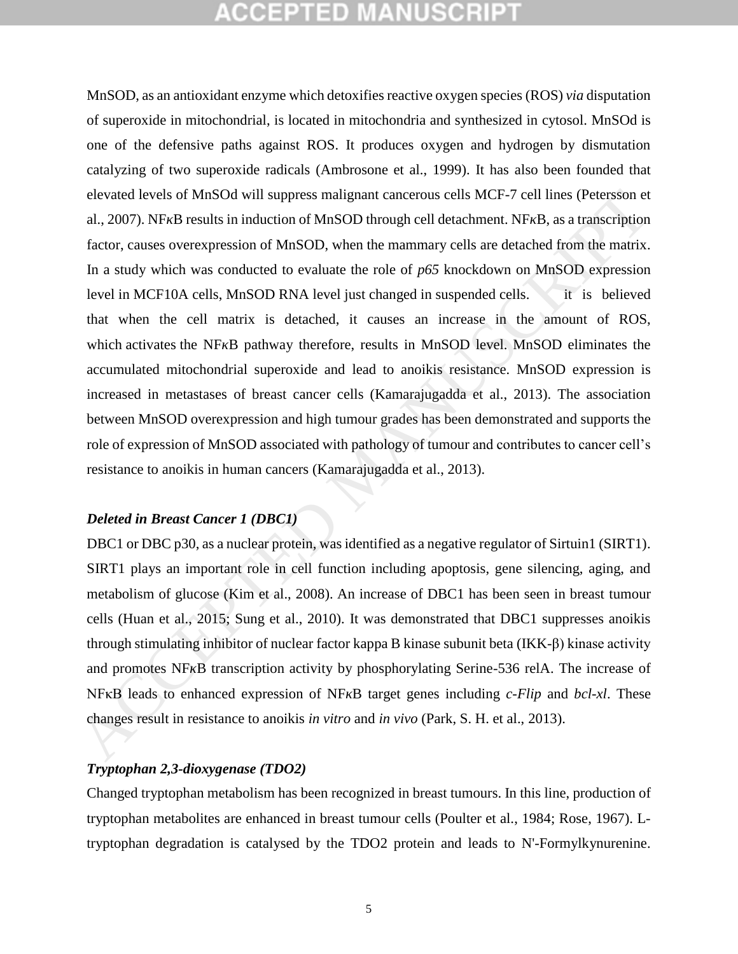MnSOD, as an antioxidant enzyme which detoxifies reactive oxygen species (ROS) *via* disputation of superoxide in mitochondrial, is located in mitochondria and synthesized in cytosol. MnSOd is one of the defensive paths against ROS. It produces oxygen and hydrogen by dismutation catalyzing of two superoxide radicals [\(Ambrosone et al., 1999\)](#page-19-2). It has also been founded that elevated levels of MnSOd will suppress malignant cancerous cells MCF-7 cell lines (Petersson et al., 2007). NF B results in induction of MnSOD through cell detachment. NF B, as a transcription factor, causes overexpression of MnSOD, when the mammary cells are detached from the matrix. In a study which was conducted to evaluate the role of *p65* knockdown on MnSOD expression level in MCF10A cells, MnSOD RNA level just changed in suspended cells. it is believed that when the cell matrix is detached, it causes an increase in the amount of ROS, which activates the NF B pathway therefore, results in MnSOD level. MnSOD eliminates the accumulated mitochondrial superoxide and lead to anoikis resistance. MnSOD expression is increased in metastases of breast cancer cells (Kamarajugadda et al., 2013). The association between MnSOD overexpression and high tumour grades has been demonstrated and supports the role of expression of MnSOD associated with pathology of tumour and contributes to cancer cell's resistance to anoikis in human cancers (Kamarajugadda et al., 2013). elevated levels of MnSOd will suppress malignant cancerous cells MCF-7 cell lines (Petersson et al., 2007). NF B results in induction of MnSOD hrough cell detachment. NF B, as a transcription of MnSOD in the manning cells

### *Deleted in Breast Cancer 1 (DBC1)*

DBC1 or DBC p30, as a nuclear protein, was identified as a negative regulator of Sirtuin1 (SIRT1). SIRT1 plays an important role in cell function including apoptosis, gene silencing, aging, and metabolism of glucose (Kim et al., 2008). An increase of DBC1 has been seen in breast tumour cells (Huan et al., 2015; Sung et al., 2010). It was demonstrated that DBC1 suppresses anoikis through stimulating inhibitor of nuclear factor kappa B kinase subunit beta (IKK-β) kinase activity and promotes NF B transcription activity by phosphorylating Serine-536 relA. The increase of NFκB leads to enhanced expression of NF B target genes including *c-Flip* and *bcl-xl*. These changes result in resistance to anoikis *in vitro* and *in vivo* (Park, S. H. et al., 2013).

### *Tryptophan 2,3-dioxygenase (TDO2)*

Changed tryptophan metabolism has been recognized in breast tumours. In this line, production of tryptophan metabolites are enhanced in breast tumour cells [\(Poulter et al., 1984;](#page-23-5) [Rose, 1967\)](#page-23-6). Ltryptophan degradation is catalysed by the TDO2 protein and leads to N'-Formylkynurenine.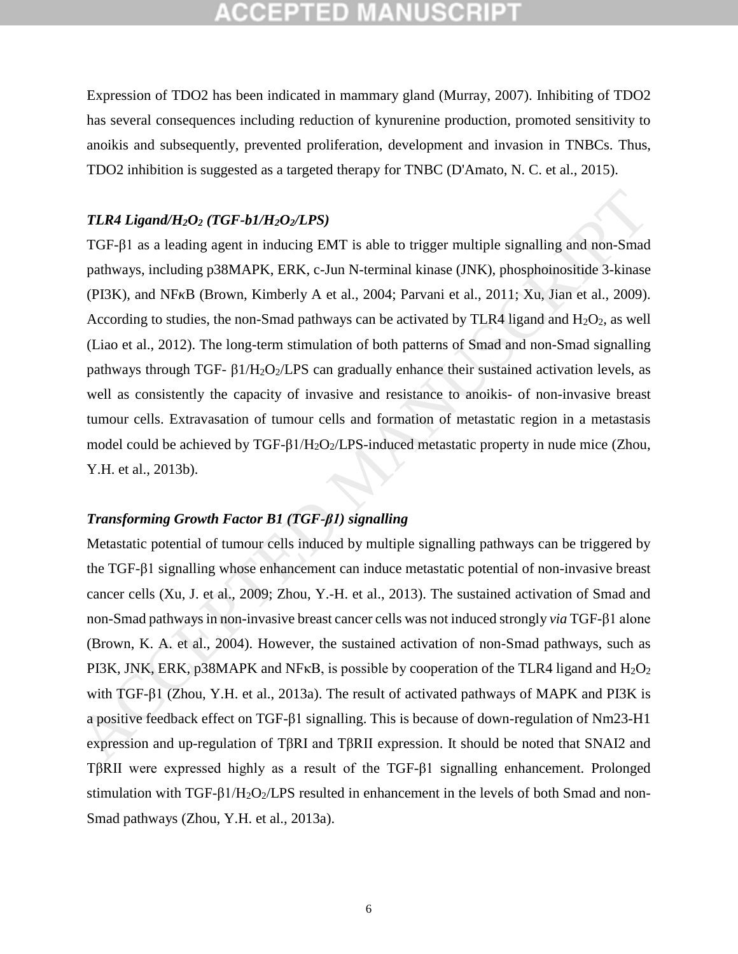## PTED

Expression of TDO2 has been indicated in mammary gland [\(Murray, 2007\)](#page-22-5). Inhibiting of TDO2 has several consequences including reduction of kynurenine production, promoted sensitivity to anoikis and subsequently, prevented proliferation, development and invasion in TNBCs. Thus, TDO2 inhibition is suggested as a targeted therapy for TNBC [\(D'Amato, N. C. et al., 2015\)](#page-19-3).

### *TLR4 Ligand/H2O<sup>2</sup> (TGF-b1/H2O2/LPS)*

TGF-β1 as a leading agent in inducing EMT is able to trigger multiple signalling and non-Smad pathways, including p38MAPK, ERK, c-Jun N-terminal kinase (JNK), phosphoinositide 3-kinase (PI3K), and NF B (Brown, Kimberly A et al., 2004; Parvani et al., 2011; Xu, Jian et al., 2009). According to studies, the non-Smad pathways can be activated by TLR4 ligand and  $H_2O_2$ , as well (Liao et al., 2012). The long-term stimulation of both patterns of Smad and non-Smad signalling pathways through TGF- β1/H<sub>2</sub>O<sub>2</sub>/LPS can gradually enhance their sustained activation levels, as well as consistently the capacity of invasive and resistance to anoikis- of non-invasive breast tumour cells. Extravasation of tumour cells and formation of metastatic region in a metastasis model could be achieved by TGF-β1/H<sub>2</sub>O<sub>2</sub>/LPS-induced metastatic property in nude mice (Zhou, Y.H. et al., 2013b). **TLR4 Ligand/H<sub>2</sub>O<sub>2</sub> (TGF-b1/H<sub>2</sub>O<sub>2</sub>/LPS)<br>
TGF-β1 as a leading agent in inducing [E](#page-25-2)MT is able to trigger multiple signalling and non-Smad<br>
pathways. including p38MAPK. ERK. c-Jun N-terminal kinase (JNK), phosphoinositide** 

### *Transforming Growth Factor B1 (TGF-β1) signalling*

Metastatic potential of tumour cells induced by multiple signalling pathways can be triggered by the TGF-β1 signalling whose enhancement can induce metastatic potential of non-invasive breast cancer cells (Xu, J. et al., 2009; Zhou, Y.-H. et al., 2013). The sustained activation of Smad and non-Smad pathways in non-invasive breast cancer cells was not induced strongly *via* TGF-β1 alone (Brown, K. A. et al., 2004). However, the sustained activation of non-Smad pathways, such as PI3K, JNK, ERK, p38MAPK and NF $\kappa$ B, is possible by cooperation of the TLR4 ligand and H<sub>2</sub>O<sub>2</sub> with TGF-β1 (Zhou, Y.H. et al., 2013a). The result of activated pathways of MAPK and PI3K is a positive feedback effect on TGF-β1 signalling. This is because of down-regulation of Nm23-H1 expression and up-regulation of TβRI and TβRII expression. It should be noted that SNAI2 and TβRII were expressed highly as a result of the TGF-β1 signalling enhancement. Prolonged stimulation with  $TGF- $\beta$ 1/H<sub>2</sub>O<sub>2</sub>/LPS resulted in enhancement in the levels of both Smad and non-$ Smad pathways [\(Zhou, Y.H. et al., 2013a\)](#page-25-3).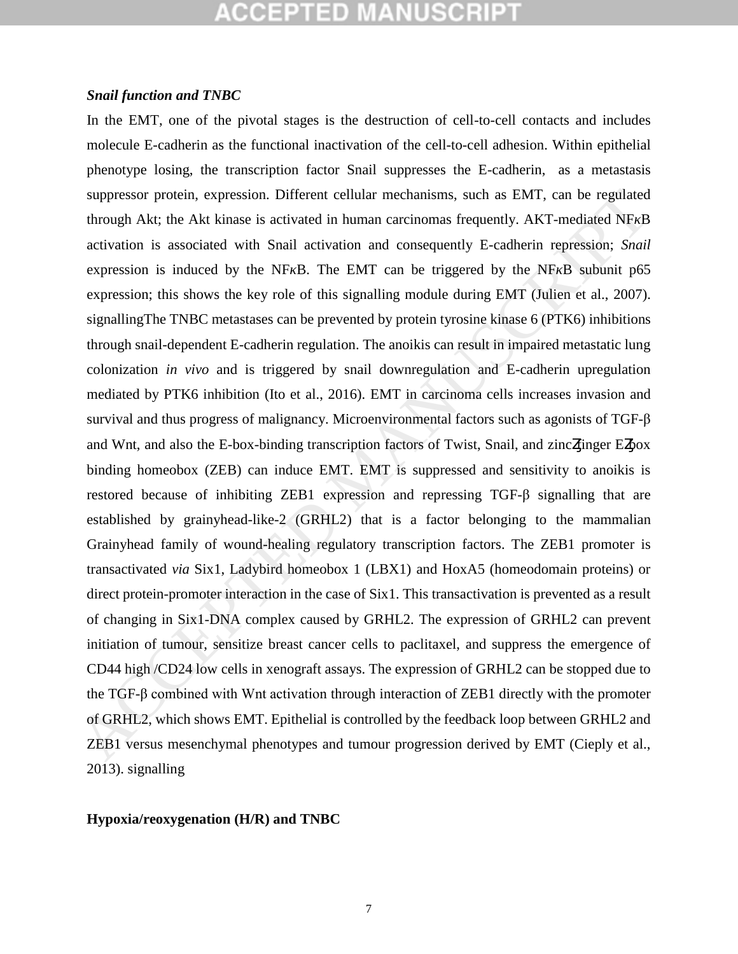### *Snail function and TNBC*

In the EMT, one of the pivotal stages is the destruction of cell-to-cell contacts and includes molecule E-cadherin as the functional inactivation of the cell-to-cell adhesion. Within epithelial phenotype losing, the transcription factor Snail suppresses the E-cadherin, as a metastasis suppressor protein, expression. Different cellular mechanisms, such as EMT, can be regulated through Akt; the Akt kinase is activated in human carcinomas frequently. AKT-mediated NF B activation is associated with Snail activation and consequently E-cadherin repression; *Snail* expression is induced by the NF B. The EMT can be triggered by the NF B subunit p65 expression; this shows the key role of this signalling module during EMT (Julien et al., 2007). signallingThe TNBC metastases can be prevented by protein tyrosine kinase 6 (PTK6) inhibitions through snail-dependent E-cadherin regulation. The anoikis can result in impaired metastatic lung colonization *in vivo* and is triggered by snail downregulation and E-cadherin upregulation mediated by PTK6 inhibition (Ito et al., 2016). EMT in carcinoma cells increases invasion and survival and thus progress of malignancy. Microenvironmental factors such as agonists of TGF-β and Wnt, and also the E-box-binding transcription factors of Twist, Snail, and zinc finger E box binding homeobox (ZEB) can induce EMT. EMT is suppressed and sensitivity to anoikis is restored because of inhibiting ZEB1 expression and repressing TGF-β signalling that are established by grainyhead-like-2 (GRHL2) that is a factor belonging to the mammalian Grainyhead family of wound-healing regulatory transcription factors. The ZEB1 promoter is transactivated *via* Six1, Ladybird homeobox 1 (LBX1) and HoxA5 (homeodomain proteins) or direct protein-promoter interaction in the case of Six1. This transactivation is prevented as a result of changing in Six1-DNA complex caused by GRHL2. The expression of GRHL2 can prevent initiation of tumour, sensitize breast cancer cells to paclitaxel, and suppress the emergence of CD44 high /CD24 low cells in xenograft assays. The expression of GRHL2 can be stopped due to the TGF-β combined with Wnt activation through interaction of ZEB1 directly with the promoter of GRHL2, which shows EMT. Epithelial is controlled by the feedback loop between GRHL2 and ZEB1 versus mesenchymal phenotypes and tumour progression derived by EMT (Cieply et al., [2013\)](#page-19-6). signalling suppressor protein, expression. Different cellular mechanisms, such as EMT, can be regulated<br>through Akt; the Akt kinase is activated in human carrienosas frequently. AKT-mediated NF DB activation is associated with Small

### **Hypoxia/reoxygenation (H/R) and TNBC**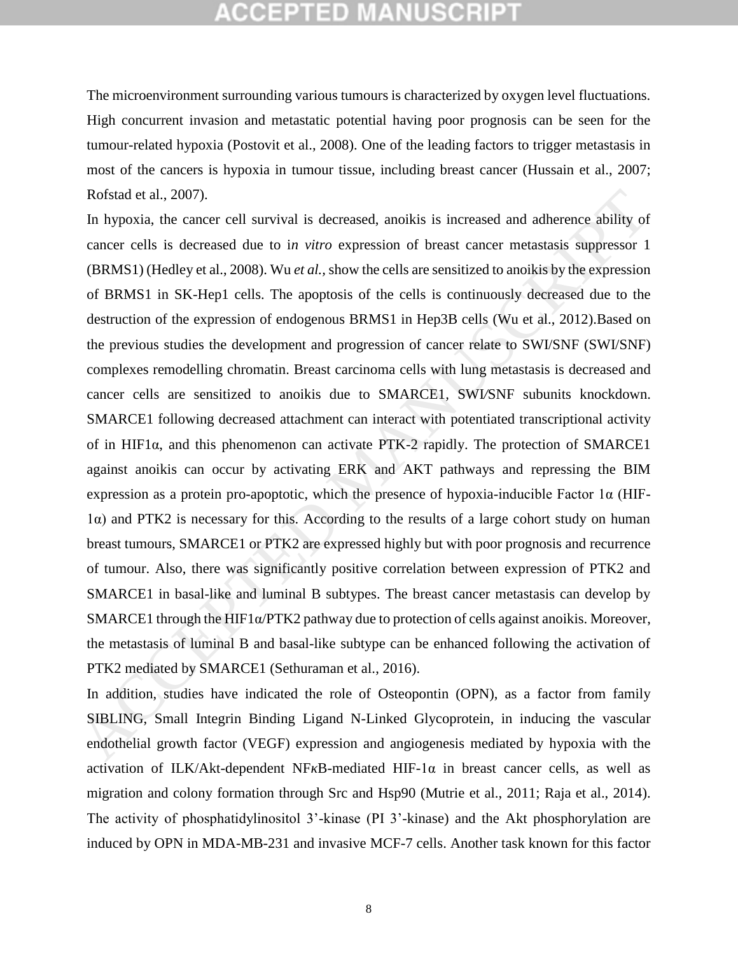The microenvironment surrounding various tumours is characterized by oxygen level fluctuations. High concurrent invasion and metastatic potential having poor prognosis can be seen for the tumour-related hypoxia [\(Postovit et al., 2008\)](#page-22-8). One of the leading factors to trigger metastasis in most of the cancers is hypoxia in tumour tissue, including breast cancer [\(Hussain et al., 2007;](#page-21-8) Rofstad et al., 2007).

In hypoxia, the cancer cell survival is decreased, anoikis is increased and adherence ability of cancer cells is decreased due to i*n vitro* expression of breast cancer metastasis suppressor 1 (BRMS1) (Hedley et al., 2008). Wu *et al.,* show the cells are sensitized to anoikis by the expression of BRMS1 in SK-Hep1 cells. The apoptosis of the cells is continuously decreased due to the destruction of the expression of endogenous BRMS1 in Hep3B cells (Wu et al., 2012).Based on the previous studies the development and progression of cancer relate to SWI/SNF (SWI/SNF) complexes remodelling chromatin. Breast carcinoma cells with lung metastasis is decreased and cancer cells are sensitized to anoikis due to SMARCE1*,* SWI*/*SNF subunits knockdown. SMARCE1 following decreased attachment can interact with potentiated transcriptional activity of in HIF1α, and this phenomenon can activate PTK-2 rapidly. The protection of SMARCE1 against anoikis can occur by activating ERK and AKT pathways and repressing the BIM expression as a protein pro-apoptotic, which the presence of hypoxia-inducible Factor 1α (HIF-1α) and PTK2 is necessary for this. According to the results of a large cohort study on human breast tumours, SMARCE1 or PTK2 are expressed highly but with poor prognosis and recurrence of tumour. Also, there was significantly positive correlation between expression of PTK2 and SMARCE1 in basal-like and luminal B subtypes. The breast cancer metastasis can develop by SMARCE1 through the HIF1α/PTK2 pathway due to protection of cells against anoikis. Moreover, the metastasis of luminal B and basal-like subtype can be enhanced following the activation of PTK2 mediated by SMARCE1 (Sethuraman et al., 2016). Rolstad et al., 2007).<br>
In hyposia, the cancer cell survival is decreased, anoikis is increased and adherence ability of<br>
the yoncar cells is decreased due to in vitro expression of breast cancer metastasis suppressor 1<br>

In addition, studies have indicated the role of Osteopontin (OPN), as a factor from family SIBLING, Small Integrin Binding Ligand N-Linked Glycoprotein, in inducing the vascular endothelial growth factor (VEGF) expression and angiogenesis mediated by hypoxia with the activation of ILK/Akt-dependent NF B-mediated HIF-1 $\alpha$  in breast cancer cells, as well as migration and colony formation through Src and Hsp90 [\(Mutrie et al., 2011;](#page-22-9) [Raja et al., 2014\)](#page-23-9). The activity of phosphatidylinositol 3'-kinase (PI 3'-kinase) and the Akt phosphorylation are induced by OPN in MDA-MB-231 and invasive MCF-7 cells. Another task known for this factor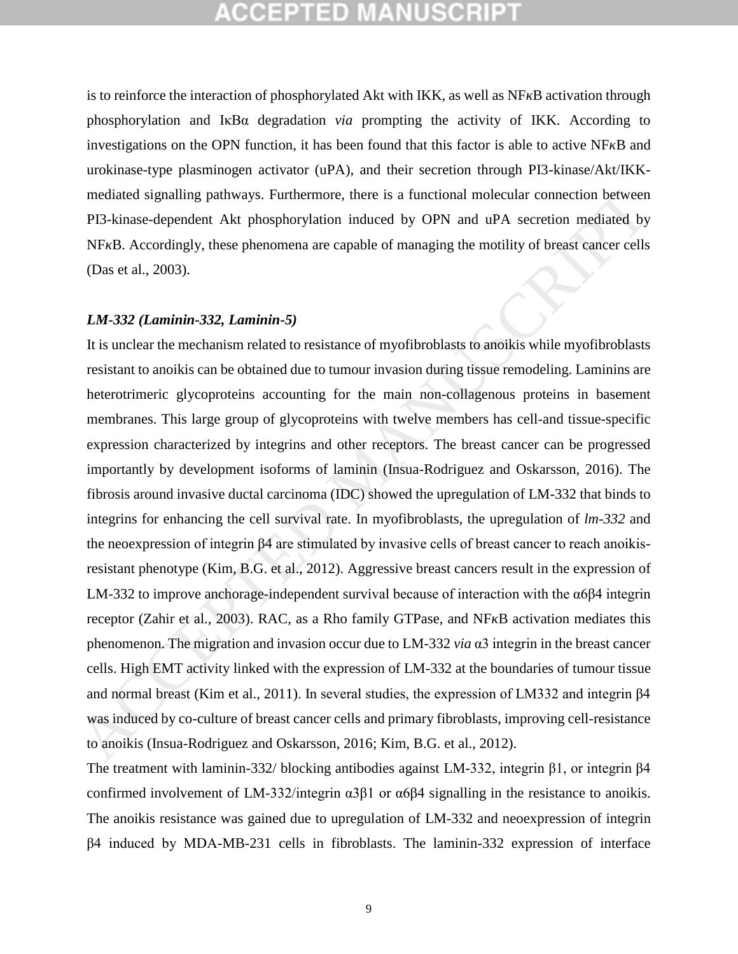is to reinforce the interaction of phosphorylated Akt with IKK, as well as NF B activation through phosphorylation and IκBα degradation *via* prompting the activity of IKK. According to investigations on the OPN function, it has been found that this factor is able to active NF B and urokinase-type plasminogen activator (uPA), and their secretion through PI3-kinase/Akt/IKKmediated signalling pathways. Furthermore, there is a functional molecular connection between PI3-kinase-dependent Akt phosphorylation induced by OPN and uPA secretion mediated by NF B. Accordingly, these phenomena are capable of managing the motility of breast cancer cells (Das et al., 2003).

#### *LM-332 (Laminin-332, Laminin-5)*

It is unclear the mechanism related to resistance of myofibroblasts to anoikis while myofibroblasts resistant to anoikis can be obtained due to tumour invasion during tissue remodeling. Laminins are heterotrimeric glycoproteins accounting for the main non-collagenous proteins in basement membranes. This large group of glycoproteins with twelve members has cell-and tissue-specific expression characterized by integrins and other receptors. The breast cancer can be progressed importantly by development isoforms of laminin (Insua-Rodriguez and Oskarsson, 2016). The fibrosis around invasive ductal carcinoma (IDC) showed the upregulation of LM-332 that binds to integrins for enhancing the cell survival rate. In myofibroblasts, the upregulation of *lm-332* and the neoexpression of integrin β4 are stimulated by invasive cells of breast cancer to reach anoikisresistant phenotype (Kim, B.G. et al., 2012). Aggressive breast cancers result in the expression of LM-332 to improve anchorage-independent survival because of interaction with the  $\alpha$ 6 $\beta$ 4 integrin receptor (Zahir et al., 2003). RAC, as a Rho family GTPase, and NF B activation mediates this phenomenon. The migration and invasion occur due to LM-332 *via* α3 integrin in the breast cancer cells. High EMT activity linked with the expression of LM-332 at the boundaries of tumour tissue and normal breast (Kim et al., 2011). In several studies, the expression of LM332 and integrin β4 was induced by co-culture of breast cancer cells and primary fibroblasts, improving cell-resistance to anoikis (Insua-Rodriguez and Oskarsson, 2016; Kim, B.G. et al., 2012). mediated signalting pathways. Furthermore, there is a functional molecular connection between<br>
PI3-kinase-dependent Akt phosphorylation induced by OPN and uPA secretion mediated by<br>
NF B. Accordingly, these phenomena are

The treatment with laminin-332/ blocking antibodies against LM-332, integrin β1, or integrin β4 confirmed involvement of LM-332/integrin  $\alpha$ 3 $\beta$ 1 or  $\alpha$  $\beta$  $\beta$  signalling in the resistance to anoikis. The anoikis resistance was gained due to upregulation of LM-332 and neoexpression of integrin β4 induced by MDA-MB-231 cells in fibroblasts. The laminin-332 expression of interface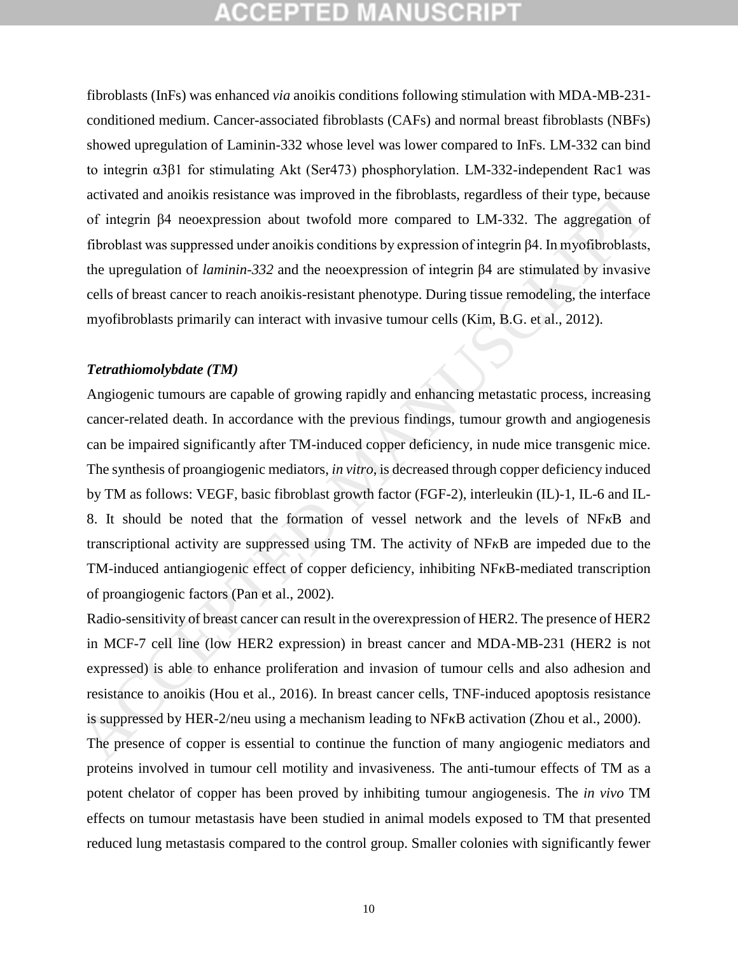fibroblasts (InFs) was enhanced *via* anoikis conditions following stimulation with MDA-MB-231 conditioned medium. Cancer-associated fibroblasts (CAFs) and normal breast fibroblasts (NBFs) showed upregulation of Laminin-332 whose level was lower compared to InFs. LM-332 can bind to integrin α3β1 for stimulating Akt (Ser473) phosphorylation. LM-332-independent Rac1 was activated and anoikis resistance was improved in the fibroblasts, regardless of their type, because of integrin β4 neoexpression about twofold more compared to LM-332. The aggregation of fibroblast was suppressed under anoikis conditions by expression of integrin β4. In myofibroblasts, the upregulation of *laminin-332* and the neoexpression of integrin β4 are stimulated by invasive cells of breast cancer to reach anoikis-resistant phenotype. During tissue remodeling, the interface myofibroblasts primarily can interact with invasive tumour cells (Kim, B.G. et al., 2012).

### *Tetrathiomolybdate (TM)*

Angiogenic tumours are capable of growing rapidly and enhancing metastatic process, increasing cancer-related death. In accordance with the previous findings, tumour growth and angiogenesis can be impaired significantly after TM-induced copper deficiency, in nude mice transgenic mice. The synthesis of proangiogenic mediators, *in vitro*, is decreased through copper deficiency induced by TM as follows: VEGF, basic fibroblast growth factor (FGF-2), interleukin (IL)-1, IL-6 and IL-8. It should be noted that the formation of vessel network and the levels of NF B and transcriptional activity are suppressed using TM. The activity of NF B are impeded due to the TM-induced antiangiogenic effect of copper deficiency, inhibiting NF B-mediated transcription of proangiogenic factors (Pan et al., 2002). activated and anoikis resistance was improved in the fibroblasts, regardless of their type, because<br>of integrin  $\beta$ 4 necexpression about twoloid more compared to LM-332. The aggregation of<br>lifetoblast was suppresed under

Radio-sensitivity of breast cancer can result in the overexpression of HER2. The presence of HER2 in MCF-7 cell line (low HER2 expression) in breast cancer and MDA-MB-231 (HER2 is not expressed) is able to enhance proliferation and invasion of tumour cells and also adhesion and resistance to anoikis (Hou et al., 2016). In breast cancer cells, TNF-induced apoptosis resistance is suppressed by HER-2/neu using a mechanism leading to NF B activation (Zhou et al., 2000).

The presence of copper is essential to continue the function of many angiogenic mediators and proteins involved in tumour cell motility and invasiveness. The anti-tumour effects of TM as a potent chelator of copper has been proved by inhibiting tumour angiogenesis. The *in vivo* TM effects on tumour metastasis have been studied in animal models exposed to TM that presented reduced lung metastasis compared to the control group. Smaller colonies with significantly fewer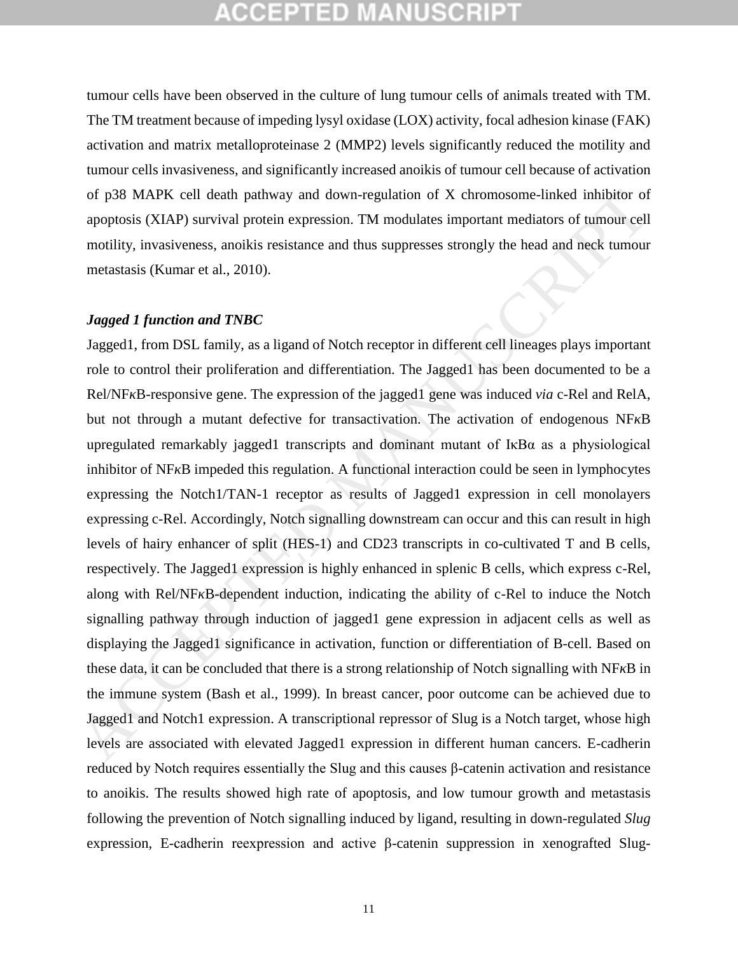tumour cells have been observed in the culture of lung tumour cells of animals treated with TM. The TM treatment because of impeding lysyl oxidase (LOX) activity, focal adhesion kinase (FAK) activation and matrix metalloproteinase 2 (MMP2) levels significantly reduced the motility and tumour cells invasiveness, and significantly increased anoikis of tumour cell because of activation of p38 MAPK cell death pathway and down-regulation of X chromosome-linked inhibitor of apoptosis (XIAP) survival protein expression. TM modulates important mediators of tumour cell motility, invasiveness, anoikis resistance and thus suppresses strongly the head and neck tumour metastasis (Kumar et al., 2010).

#### *Jagged 1 function and TNBC*

Jagged1, from DSL family, as a ligand of Notch receptor in different cell lineages plays important role to control their proliferation and differentiation. The Jagged1 has been documented to be a Rel/NF B-responsive gene. The expression of the jagged1 gene was induced *via* c-Rel and RelA, but not through a mutant defective for transactivation. The activation of endogenous NF B upregulated remarkably jagged1 transcripts and dominant mutant of  $I \kappa B\alpha$  as a physiological inhibitor of NF B impeded this regulation. A functional interaction could be seen in lymphocytes expressing the Notch1/TAN-1 receptor as results of Jagged1 expression in cell monolayers expressing c-Rel. Accordingly, Notch signalling downstream can occur and this can result in high levels of hairy enhancer of split (HES-1) and CD23 transcripts in co-cultivated T and B cells, respectively. The Jagged1 expression is highly enhanced in splenic B cells, which express c-Rel, along with Rel/NF B-dependent induction, indicating the ability of c-Rel to induce the Notch signalling pathway through induction of jagged1 gene expression in adjacent cells as well as displaying the Jagged1 significance in activation, function or differentiation of B-cell. Based on these data, it can be concluded that there is a strong relationship of Notch signalling with NF B in the immune system (Bash et al., 1999). In breast cancer, poor outcome can be achieved due to Jagged1 and Notch1 expression. A transcriptional repressor of Slug is a Notch target, whose high levels are associated with elevated Jagged1 expression in different human cancers. E-cadherin reduced by Notch requires essentially the Slug and this causes β-catenin activation and resistance to anoikis. The results showed high rate of apoptosis, and low tumour growth and metastasis following the prevention of Notch signalling induced by ligand, resulting in down-regulated *Slug* expression, E-cadherin reexpression and active β-catenin suppression in xenografted Slugof p38 MAPK cell death pathway and down-regulation of X chromosome-linked inhibitor of<br>apoptosis (XIAP) survival protein expression. TM modulates important mediators of tumour cell<br>motility, invasiveness, anoikis resistan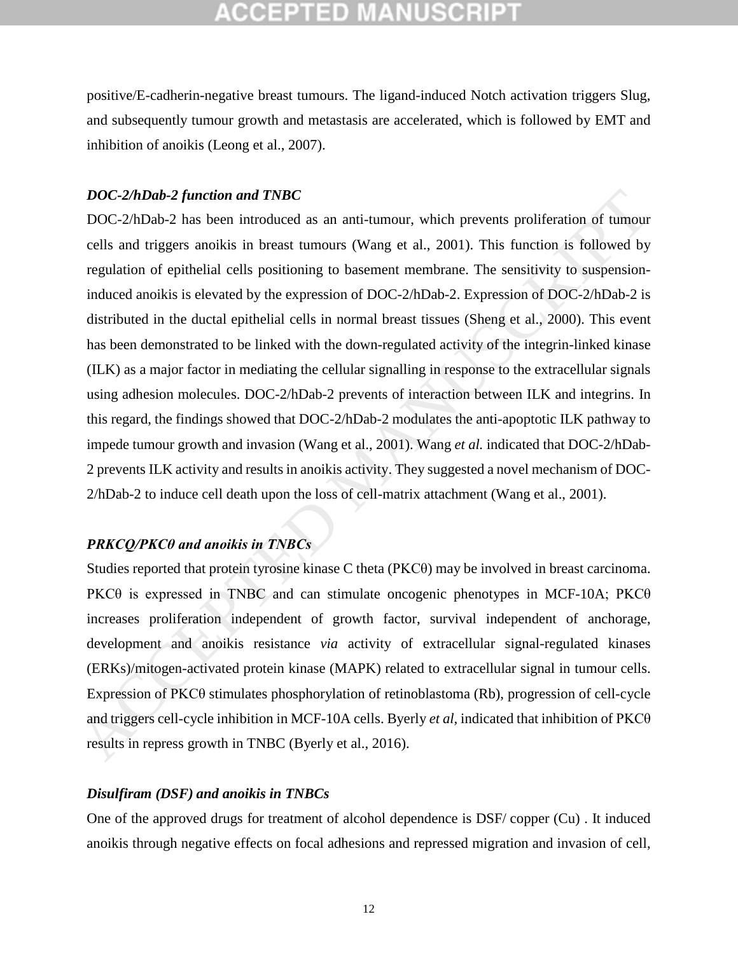positive/E-cadherin-negative breast tumours. The ligand-induced Notch activation triggers Slug, and subsequently tumour growth and metastasis are accelerated, which is followed by EMT and inhibition of anoikis [\(Leong et al., 2007\)](#page-22-11).

### *DOC-2/hDab-2 function and TNBC*

DOC-2/hDab-2 has been introduced as an anti-tumour, which prevents proliferation of tumour cells and triggers anoikis in breast tumours (Wang et al., 2001). This function is followed by regulation of epithelial cells positioning to basement membrane. The sensitivity to suspensioninduced anoikis is elevated by the expression of DOC-2/hDab-2. Expression of DOC-2/hDab-2 is distributed in the ductal epithelial cells in normal breast tissues (Sheng et al., 2000). This event has been demonstrated to be linked with the down-regulated activity of the integrin-linked kinase (ILK) as a major factor in mediating the cellular signalling in response to the extracellular signals using adhesion molecules. DOC-2/hDab-2 prevents of interaction between ILK and integrins. In this regard, the findings showed that DOC-2/hDab-2 modulates the anti-apoptotic ILK pathway to impede tumour growth and invasion (Wang et al., 2001). Wang *et al.* indicated that DOC-2/hDab-2 prevents ILK activity and results in anoikis activity. They suggested a novel mechanism of DOC-2/hDab-2 to induce cell death upon the loss of cell-matrix attachment (Wang et al., 2001). *DOC-2/hDab-2 function and TNBC*<br>
DOC-2/hDab-2 has been introduced as an anti-tumour, which prevents proliferation of tumour<br>
DOC-2/hDab-2 has been introduced as an anti-tumour, Wang et al., 2001). This function is foll

### *PRKCQ/PKCθ and anoikis in TNBCs*

Studies reported that protein tyrosine kinase C theta (PKCθ) may be involved in breast carcinoma. PKC $\theta$  is expressed in TNBC and can stimulate oncogenic phenotypes in MCF-10A; PKC $\theta$ increases proliferation independent of growth factor, survival independent of anchorage, development and anoikis resistance *via* activity of extracellular signal-regulated kinases (ERKs)/mitogen-activated protein kinase (MAPK) related to extracellular signal in tumour cells. Expression of PKCθ stimulates phosphorylation of retinoblastoma (Rb), progression of cell-cycle and triggers cell-cycle inhibition in MCF-10A cells. Byerly *et al,* indicated that inhibition of PKCθ results in repress growth in TNBC (Byerly et al., 2016).

### *Disulfiram (DSF) and anoikis in TNBCs*

One of the approved drugs for treatment of alcohol dependence is DSF/ copper (Cu) . It induced anoikis through negative effects on focal adhesions and repressed migration and invasion of cell,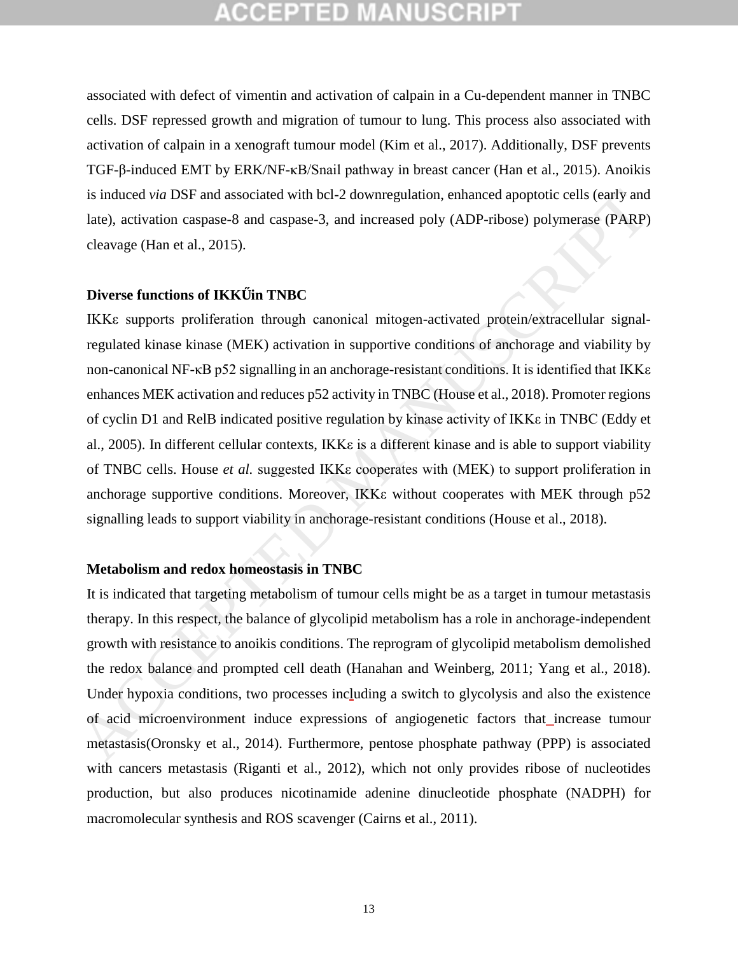associated with defect of vimentin and activation of calpain in a Cu-dependent manner in TNBC cells. DSF repressed growth and migration of tumour to lung. This process also associated with activation of calpain in a xenograft tumour model [\(Kim et al., 2017\)](#page-21-13). Additionally, DSF prevents TGF-β-induced EMT by ERK/NF-κB/Snail pathway in breast cancer [\(Han et al., 2015\)](#page-20-7). Anoikis is induced *via* DSF and associated with bcl-2 downregulation, enhanced apoptotic cells (early and late), activation caspase-8 and caspase-3, and increased poly (ADP-ribose) polymerase (PARP) cleavage (Han et al., 2015).

#### **Diverse functions of IKK in TNBC**

ΙΚΚε supports proliferation through canonical mitogen-activated protein/extracellular signalregulated kinase kinase (MEK) activation in supportive conditions of anchorage and viability by non-canonical NF-κB p52 signalling in an anchorage-resistant conditions. It is identified that ΙΚΚε enhances MEK activation and reduces p52 activity in TNBC (House et al., 2018). Promoter regions of cyclin D1 and RelB indicated positive regulation by kinase activity of ΙΚΚε in TNBC (Eddy et al., 2005). In different cellular contexts, ΙΚΚε is a different kinase and is able to support viability of TNBC cells. House *et al.* suggested IKKε cooperates with (MEK) to support proliferation in anchorage supportive conditions. Moreover, IKKε without cooperates with MEK through p52 signalling leads to support viability in anchorage-resistant conditions (House et al., 2018). is induced *via* DSF and associated with bcl-2 downregulation, enhanced apoptotic cells (early and<br>late), activation caspase-8 and caspase-3, and increased poly (ADP-ribose) polymerase (PARP)<br>cleavage (Han et al., 2015).<br>

#### **Metabolism and redox homeostasis in TNBC**

It is indicated that targeting metabolism of tumour cells might be as a target in tumour metastasis therapy. In this respect, the balance of glycolipid metabolism has a role in anchorage-independent growth with resistance to anoikis conditions. The reprogram of glycolipid metabolism demolished the redox balance and prompted cell death (Hanahan and Weinberg, 2011; Yang et al., 2018). Under hypoxia conditions, two processes including a switch to glycolysis and also the existence of acid microenvironment induce expressions of angiogenetic factors that increase tumour metastasis(Oronsky et al., 2014). Furthermore, pentose phosphate pathway (PPP) is associated with cancers metastasis [\(Riganti et al., 2012\)](#page-23-11), which not only provides ribose of nucleotides production, but also produces nicotinamide adenine dinucleotide phosphate (NADPH) for macromolecular synthesis and ROS scavenger [\(Cairns et al., 2011\)](#page-19-10).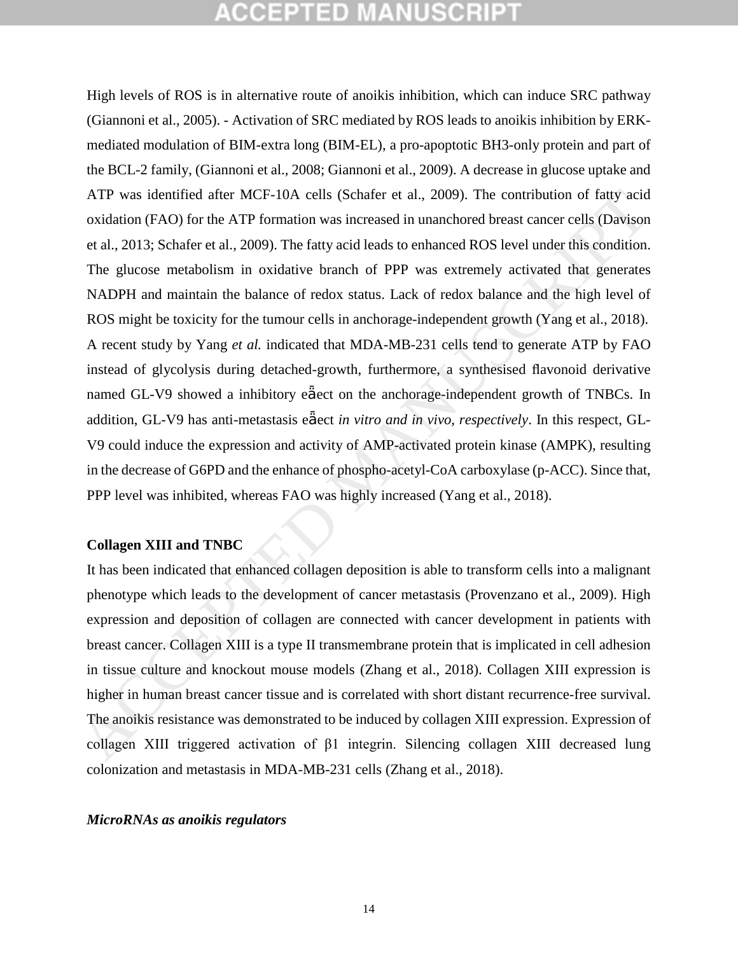High levels of ROS is in alternative route of anoikis inhibition, which can induce SRC pathway [\(Giannoni et al., 2005\)](#page-20-10). - Activation of SRC mediated by ROS leads to anoikis inhibition by ERKmediated modulation of BIM-extra long (BIM-EL), a pro-apoptotic BH3-only protein and part of the BCL-2 family, [\(Giannoni et al., 2008;](#page-20-11) [Giannoni et al., 2009\)](#page-20-12). A decrease in glucose uptake and ATP was identified after MCF-10A cells (Schafer et al., 2009). The contribution of fatty acid oxidation (FAO) for the ATP formation was increased in unanchored breast cancer cells (Davison et al., 2013; Schafer et al., 2009). The fatty acid leads to enhanced ROS level under this condition. The glucose metabolism in oxidative branch of PPP was extremely activated that generates NADPH and maintain the balance of redox status. Lack of redox balance and the high level of ROS might be toxicity for the tumour cells in anchorage-independent growth (Yang et al., 2018). A recent study by Yang *et al.* indicated that MDA-MB-231 cells tend to generate ATP by FAO instead of glycolysis during detached-growth, furthermore, a synthesised flavonoid derivative named GL-V9 showed a inhibitory e ect on the anchorage-independent growth of TNBCs. In addition, GL-V9 has anti-metastasis e ect *in vitro and in vivo, respectively*. In this respect, GL-V9 could induce the expression and activity of AMP-activated protein kinase (AMPK), resulting in the decrease of G6PD and the enhance of phospho-acetyl-CoA carboxylase (p-ACC). Since that, PPP level was inhibited, whereas FAO was highly increased (Yang et al., 2018). ATP was identified after MCF-10A cells (Schafer et al., 2009). The contribution of fatty acid<br>oxidation (FAO) for the ATP formation was increased in unanchored breast cancer cells (Davison<br>at al., 2013; Schafer et al., 20

#### **Collagen XIII and TNBC**

It has been indicated that enhanced collagen deposition is able to transform cells into a malignant phenotype which leads to the development of cancer metastasis (Provenzano et al., 2009). High expression and deposition of collagen are connected with cancer development in patients with breast cancer. Collagen XIII is a type II transmembrane protein that is implicated in cell adhesion in tissue culture and knockout mouse models (Zhang et al., 2018). Collagen XIII expression is higher in human breast cancer tissue and is correlated with short distant recurrence-free survival. The anoikis resistance was demonstrated to be induced by collagen XIII expression. Expression of collagen XIII triggered activation of β1 integrin. Silencing collagen XIII decreased lung colonization and metastasis in MDA-MB-231 cells (Zhang [et al., 2018\)](#page-25-5).

#### *MicroRNAs as anoikis regulators*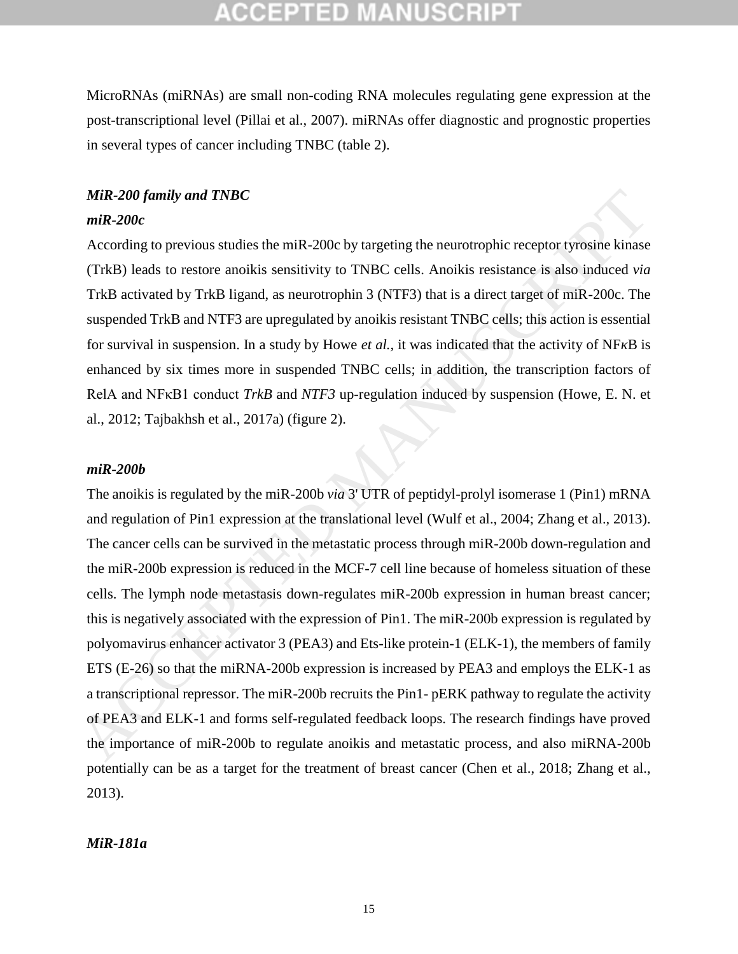MicroRNAs (miRNAs) are small non-coding RNA molecules regulating gene expression at the post-transcriptional level [\(Pillai et al., 2007\)](#page-22-13). miRNAs offer diagnostic and prognostic properties in several types of cancer including TNBC (table 2).

### *MiR-200 family and TNBC*

### *miR-200c*

According to previous studies the miR-200c by targeting the neurotrophic receptor tyrosine kinase (TrkB) leads to restore anoikis sensitivity to TNBC cells. Anoikis resistance is also induced *via* TrkB activated by TrkB ligand, as neurotrophin 3 (NTF3) that is a direct target of miR-200c. The suspended TrkB and NTF3 are upregulated by anoikis resistant TNBC cells; this action is essential for survival in suspension. In a study by Howe *et al.,* it was indicated that the activity of NF B is enhanced by six times more in suspended TNBC cells; in addition, the transcription factors of RelA and NFκB1 conduct *TrkB* and *NTF3* up-regulation induced by suspension (Howe, E. N. et al., 2012; Tajbakhsh et al., 2017a) (figure 2).

#### *miR-200b*

The anoikis is regulated by the miR-200b *via* 3' UTR of peptidyl-prolyl isomerase 1 (Pin1) mRNA and regulation of Pin1 expression at the translational level (Wulf et al., 2004; Zhang et al., 2013). The cancer cells can be survived in the metastatic process through miR-200b down-regulation and the miR-200b expression is reduced in the MCF-7 cell line because of homeless situation of these cells. The lymph node metastasis down-regulates miR-200b expression in human breast cancer; this is negatively associated with the expression of Pin1. The miR-200b expression is regulated by polyomavirus enhancer activator 3 (PEA3) and Ets-like protein-1 (ELK-1), the members of family ETS (E-26) so that the miRNA-200b expression is increased by PEA3 and employs the ELK-1 as a transcriptional repressor. The miR-200b recruits the Pin1- pERK pathway to regulate the activity of PEA3 and ELK-1 and forms self-regulated feedback loops. The research findings have proved the importance of miR-200b to regulate anoikis and metastatic process, and also miRNA-200b potentially can be as a target for the treatment of breast cancer [\(Chen et al., 2018;](#page-19-11) [Zhang et al.,](#page-25-6)  [2013\)](#page-25-6). *MiR-200 fumily and TNBC*<br> **miR-200c**<br> **miR-200c**<br> **miR-200c**<br> **coroting** to previous studies the miR-200c by targeting the neurotrophic receptor tyrosine kinase<br>
(TRB) leads to restore unoikis sensitivity to TNBC cells

### *MiR-181a*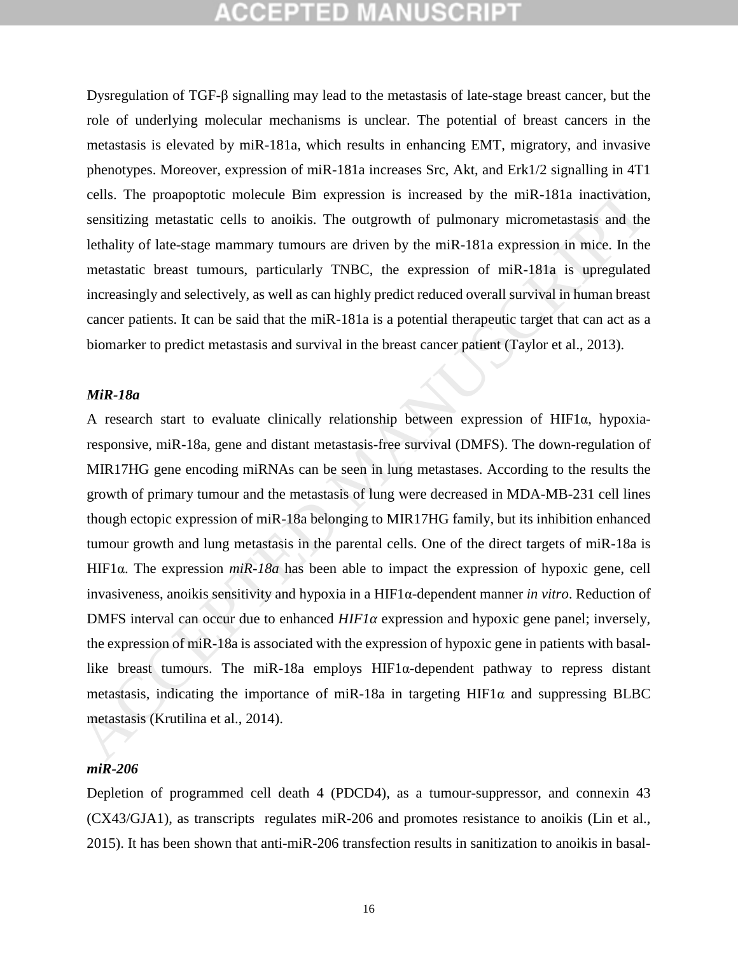Dysregulation of TGF-β signalling may lead to the metastasis of late-stage breast cancer, but the role of underlying molecular mechanisms is unclear. The potential of breast cancers in the metastasis is elevated by miR-181a, which results in enhancing EMT, migratory, and invasive phenotypes. Moreover, expression of miR-181a increases Src, Akt, and Erk1/2 signalling in 4T1 cells. The proapoptotic molecule Bim expression is increased by the miR-181a inactivation, sensitizing metastatic cells to anoikis. The outgrowth of pulmonary micrometastasis and the lethality of late-stage mammary tumours are driven by the miR-181a expression in mice. In the metastatic breast tumours, particularly TNBC, the expression of miR-181a is upregulated increasingly and selectively, as well as can highly predict reduced overall survival in human breast cancer patients. It can be said that the miR-181a is a potential therapeutic target that can act as a biomarker to predict metastasis and survival in the breast cancer patient (Taylor et al., 2013).

### *MiR-18a*

A research start to evaluate clinically relationship between expression of HIF1α, hypoxiaresponsive, miR-18a, gene and distant metastasis-free survival (DMFS). The down-regulation of MIR17HG gene encoding miRNAs can be seen in lung metastases. According to the results the growth of primary tumour and the metastasis of lung were decreased in MDA-MB-231 cell lines though ectopic expression of miR-18a belonging to MIR17HG family, but its inhibition enhanced tumour growth and lung metastasis in the parental cells. One of the direct targets of miR-18a is HIF1α. The expression *miR-18a* has been able to impact the expression of hypoxic gene, cell invasiveness, anoikis sensitivity and hypoxia in a HIF1α-dependent manner *in vitro*. Reduction of DMFS interval can occur due to enhanced *HIF1* expression and hypoxic gene panel; inversely, the expression of miR-18a is associated with the expression of hypoxic gene in patients with basallike breast tumours. The miR-18a employs  $HIF1\alpha$ -dependent pathway to repress distant metastasis, indicating the importance of miR-18a in targeting  $HIF1\alpha$  and suppressing BLBC metastasis (Krutilina et al., 2014). cells. The proapopolic molecule Bim expression is increased by the miR-181a inactivation,<br>sensilizing metastatic cells to anoikis. The outgrowth of pulmonary micrometastasis and the<br>heralating of late-stage manumary turno

### *miR-206*

Depletion of programmed cell death 4 (PDCD4), as a tumour-suppressor, and connexin 43 (CX43/GJA1), as transcripts regulates miR-206 and promotes resistance to anoikis [\(Lin et al.,](#page-22-14)  [2015\)](#page-22-14). It has been shown that anti-miR-206 transfection results in sanitization to anoikis in basal-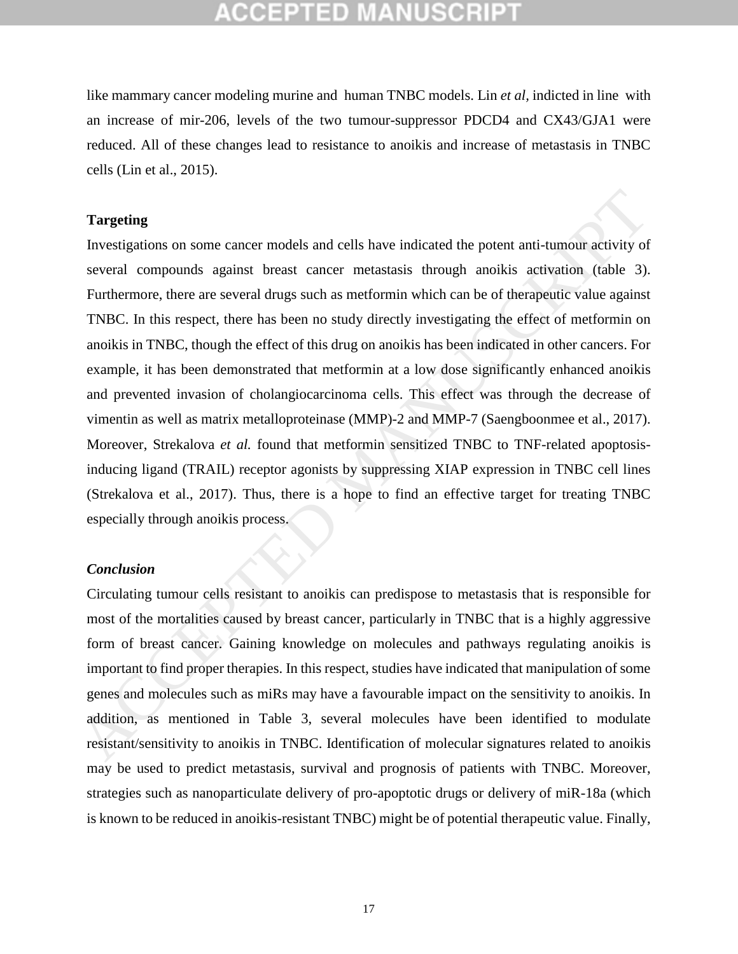like mammary cancer modeling murine and human TNBC models. Lin *et al,* indicted in line with an increase of mir-206, levels of the two tumour-suppressor PDCD4 and CX43/GJA1 were reduced. All of these changes lead to resistance to anoikis and increase of metastasis in TNBC cells [\(Lin et al., 2015\)](#page-22-14).

### **Targeting**

Investigations on some cancer models and cells have indicated the potent anti-tumour activity of several compounds against breast cancer metastasis through anoikis activation (table 3). Furthermore, there are several drugs such as metformin which can be of therapeutic value against TNBC. In this respect, there has been no study directly investigating the effect of metformin on anoikis in TNBC, though the effect of this drug on anoikis has been indicated in other cancers. For example, it has been demonstrated that metformin at a low dose significantly enhanced anoikis and prevented invasion of cholangiocarcinoma cells. This effect was through the decrease of vimentin as well as matrix metalloproteinase (MMP)-2 and MMP-7 (Saengboonmee et al., 2017). Moreover, Strekalova *et al.* found that metformin sensitized TNBC to TNF-related apoptosisinducing ligand (TRAIL) receptor agonists by suppressing XIAP expression in TNBC cell lines (Strekalova et al., 2017). Thus, there is a hope to find an effective target for treating TNBC especially through anoikis process. **Targeting**<br>Investigations on some cancer models and cells have indicated the potent anti-tumour activity of<br>several compounds against breast cancer metastasis through anoikis activation (table 3).<br>Furthermore, there are

### *Conclusion*

Circulating tumour cells resistant to anoikis can predispose to metastasis that is responsible for most of the mortalities caused by breast cancer, particularly in TNBC that is a highly aggressive form of breast cancer. Gaining knowledge on molecules and pathways regulating anoikis is important to find proper therapies. In this respect, studies have indicated that manipulation of some genes and molecules such as miRs may have a favourable impact on the sensitivity to anoikis. In addition, as mentioned in Table 3, several molecules have been identified to modulate resistant/sensitivity to anoikis in TNBC. Identification of molecular signatures related to anoikis may be used to predict metastasis, survival and prognosis of patients with TNBC. Moreover, strategies such as nanoparticulate delivery of pro-apoptotic drugs or delivery of miR-18a (which is known to be reduced in anoikis-resistant TNBC) might be of potential therapeutic value. Finally,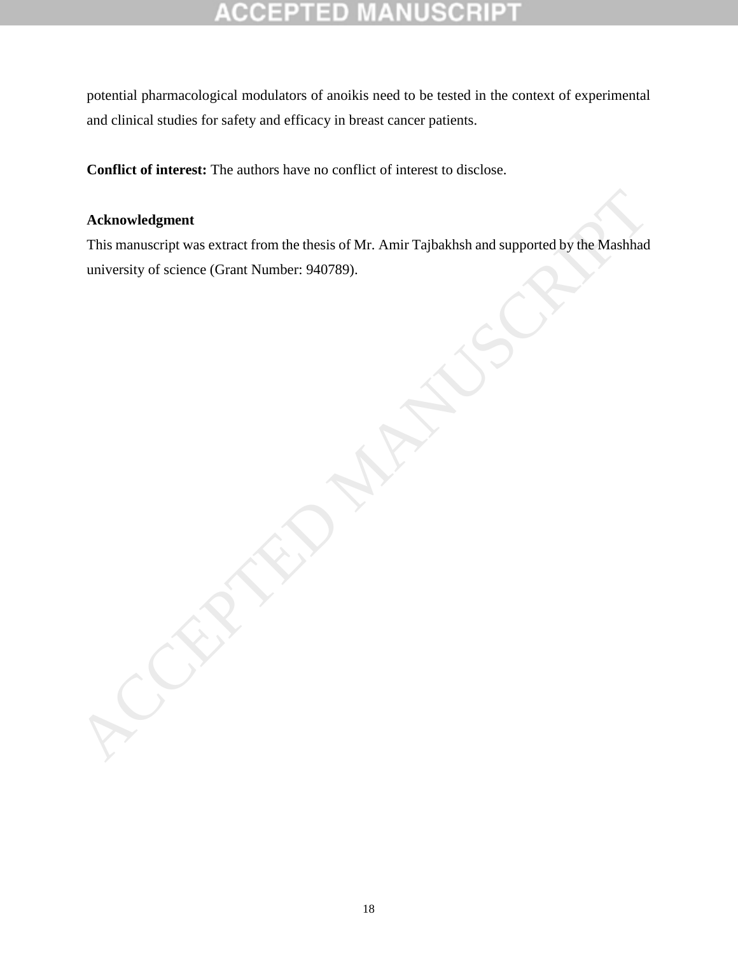#### COEP ED

potential pharmacological modulators of anoikis need to be tested in the context of experimental and clinical studies for safety and efficacy in breast cancer patients.

**Conflict of interest:** The authors have no conflict of interest to disclose.

### **Acknowledgment**

This manuscript was extract from the thesis of Mr. Amir Tajbakhsh and supported by the Mashhad Acknowledgment<br>
This manuscript was extract from the thesis of Mr. Amir Tajbakhsh and supported by the Mashhad<br>
university of science (Grant Number: 940789).<br>
Accepted Manuscript was extract from the thresis of Mr. Amir Ta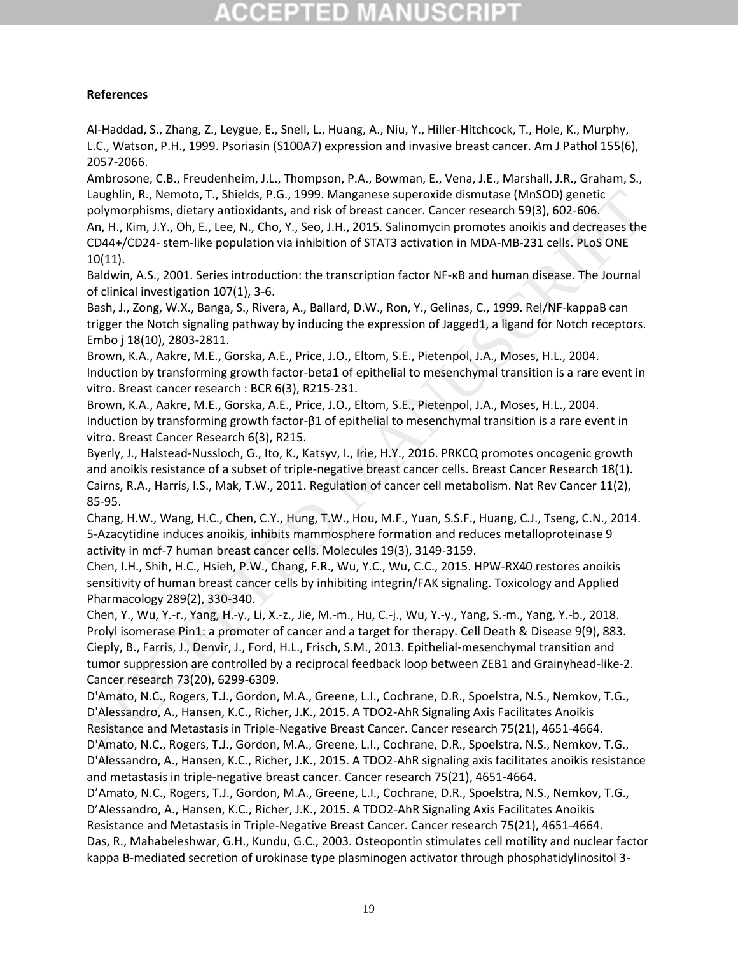# egepted M

### **References**

<span id="page-19-1"></span>Al-Haddad, S., Zhang, Z., Leygue, E., Snell, L., Huang, A., Niu, Y., Hiller-Hitchcock, T., Hole, K., Murphy, L.C., Watson, P.H., 1999. Psoriasin (S100A7) expression and invasive breast cancer. Am J Pathol 155(6), 2057-2066.

<span id="page-19-2"></span>Ambrosone, C.B., Freudenheim, J.L., Thompson, P.A., Bowman, E., Vena, J.E., Marshall, J.R., Graham, S., Laughlin, R., Nemoto, T., Shields, P.G., 1999. Manganese superoxide dismutase (MnSOD) genetic polymorphisms, dietary antioxidants, and risk of breast cancer. Cancer research 59(3), 602-606.

<span id="page-19-13"></span>An, H., Kim, J.Y., Oh, E., Lee, N., Cho, Y., Seo, J.H., 2015. Salinomycin promotes anoikis and decreases the CD44+/CD24- stem-like population via inhibition of STAT3 activation in MDA-MB-231 cells. PLoS ONE 10(11).

Baldwin, A.S., 2001. Series introduction: the transcription factor NF-κB and human disease. The Journal of clinical investigation 107(1), 3-6.

<span id="page-19-8"></span>Bash, J., Zong, W.X., Banga, S., Rivera, A., Ballard, D.W., Ron, Y., Gelinas, C., 1999. Rel/NF-kappaB can trigger the Notch signaling pathway by inducing the expression of Jagged1, a ligand for Notch receptors. Embo j 18(10), 2803-2811.

<span id="page-19-5"></span>Brown, K.A., Aakre, M.E., Gorska, A.E., Price, J.O., Eltom, S.E., Pietenpol, J.A., Moses, H.L., 2004. Induction by transforming growth factor-beta1 of epithelial to mesenchymal transition is a rare event in vitro. Breast cancer research : BCR 6(3), R215-231.

<span id="page-19-4"></span>Brown, K.A., Aakre, M.E., Gorska, A.E., Price, J.O., Eltom, S.E., Pietenpol, J.A., Moses, H.L., 2004. Induction by transforming growth factor-β1 of epithelial to mesenchymal transition is a rare event in vitro. Breast Cancer Research 6(3), R215.

<span id="page-19-10"></span><span id="page-19-9"></span>Byerly, J., Halstead-Nussloch, G., Ito, K., Katsyv, I., Irie, H.Y., 2016. PRKCQ promotes oncogenic growth and anoikis resistance of a subset of triple-negative breast cancer cells. Breast Cancer Research 18(1). Cairns, R.A., Harris, I.S., Mak, T.W., 2011. Regulation of cancer cell metabolism. Nat Rev Cancer 11(2), 85-95.

<span id="page-19-14"></span>Chang, H.W., Wang, H.C., Chen, C.Y., Hung, T.W., Hou, M.F., Yuan, S.S.F., Huang, C.J., Tseng, C.N., 2014. 5-Azacytidine induces anoikis, inhibits mammosphere formation and reduces metalloproteinase 9 activity in mcf-7 human breast cancer cells. Molecules 19(3), 3149-3159.

<span id="page-19-15"></span><span id="page-19-11"></span>Chen, I.H., Shih, H.C., Hsieh, P.W., Chang, F.R., Wu, Y.C., Wu, C.C., 2015. HPW-RX40 restores anoikis sensitivity of human breast cancer cells by inhibiting integrin/FAK signaling. Toxicology and Applied Pharmacology 289(2), 330-340.

Chen, Y., Wu, Y.-r., Yang, H.-y., Li, X.-z., Jie, M.-m., Hu, C.-j., Wu, Y.-y., Yang, S.-m., Yang, Y.-b., 2018. Prolyl isomerase Pin1: a promoter of cancer and a target for therapy. Cell Death & Disease 9(9), 883. Cieply, B., Farris, J., Denvir, J., Ford, H.L., Frisch, S.M., 2013. Epithelial-mesenchymal transition and tumor suppression are controlled by a reciprocal feedback loop between ZEB1 and Grainyhead-like-2. Cancer research 73(20), 6299-6309. Laughlin, R., Nemeto, T., Shields, P.G., 1999. Manganese superoxide dismutate (MnSO) genetic<br>ACC, APC, APC, AD. E., A., Che, N., Che, N., Che, N., 2015. Salinonyini promotes anotiks and decreases the<br>AC, H., Kim, J.V., Oh,

<span id="page-19-6"></span><span id="page-19-0"></span>D'Amato, N.C., Rogers, T.J., Gordon, M.A., Greene, L.I., Cochrane, D.R., Spoelstra, N.S., Nemkov, T.G., D'Alessandro, A., Hansen, K.C., Richer, J.K., 2015. A TDO2-AhR Signaling Axis Facilitates Anoikis Resistance and Metastasis in Triple-Negative Breast Cancer. Cancer research 75(21), 4651-4664.

<span id="page-19-3"></span>D'Amato, N.C., Rogers, T.J., Gordon, M.A., Greene, L.I., Cochrane, D.R., Spoelstra, N.S., Nemkov, T.G., D'Alessandro, A., Hansen, K.C., Richer, J.K., 2015. A TDO2-AhR signaling axis facilitates anoikis resistance and metastasis in triple-negative breast cancer. Cancer research 75(21), 4651-4664.

<span id="page-19-12"></span><span id="page-19-7"></span>D'Amato, N.C., Rogers, T.J., Gordon, M.A., Greene, L.I., Cochrane, D.R., Spoelstra, N.S., Nemkov, T.G., D'Alessandro, A., Hansen, K.C., Richer, J.K., 2015. A TDO2-AhR Signaling Axis Facilitates Anoikis Resistance and Metastasis in Triple-Negative Breast Cancer. Cancer research 75(21), 4651-4664. Das, R., Mahabeleshwar, G.H., Kundu, G.C., 2003. Osteopontin stimulates cell motility and nuclear factor kappa B-mediated secretion of urokinase type plasminogen activator through phosphatidylinositol 3-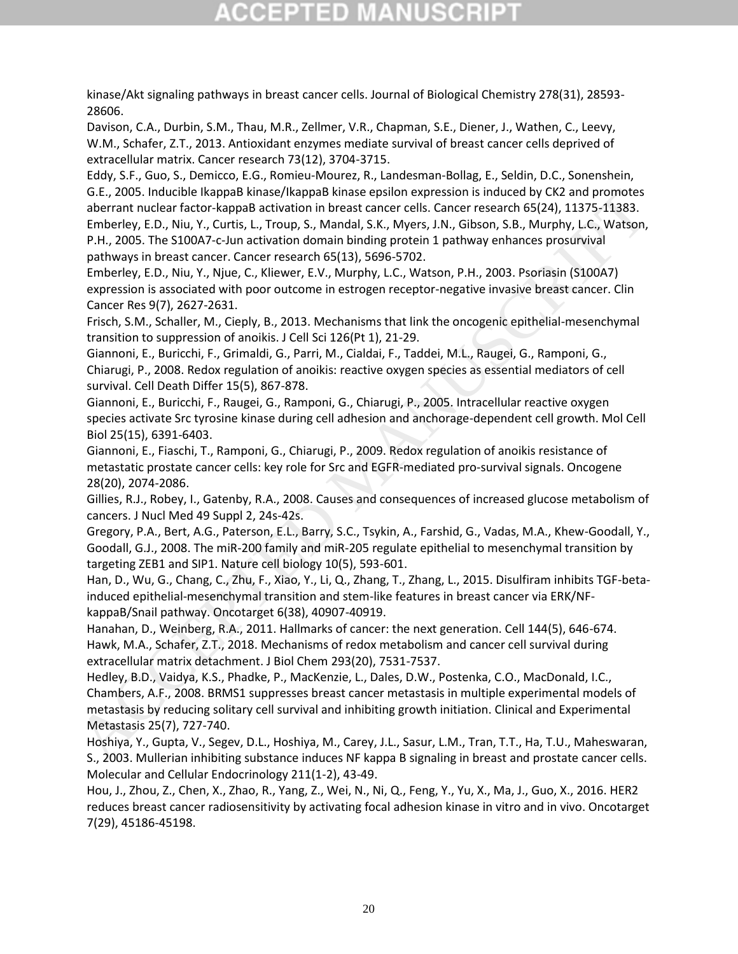# CGEPTED M

kinase/Akt signaling pathways in breast cancer cells. Journal of Biological Chemistry 278(31), 28593- 28606.

<span id="page-20-13"></span>Davison, C.A., Durbin, S.M., Thau, M.R., Zellmer, V.R., Chapman, S.E., Diener, J., Wathen, C., Leevy, W.M., Schafer, Z.T., 2013. Antioxidant enzymes mediate survival of breast cancer cells deprived of extracellular matrix. Cancer research 73(12), 3704-3715.

<span id="page-20-8"></span><span id="page-20-4"></span>Eddy, S.F., Guo, S., Demicco, E.G., Romieu-Mourez, R., Landesman-Bollag, E., Seldin, D.C., Sonenshein, G.E., 2005. Inducible IkappaB kinase/IkappaB kinase epsilon expression is induced by CK2 and promotes aberrant nuclear factor-kappaB activation in breast cancer cells. Cancer research 65(24), 11375-11383. Emberley, E.D., Niu, Y., Curtis, L., Troup, S., Mandal, S.K., Myers, J.N., Gibson, S.B., Murphy, L.C., Watson, P.H., 2005. The S100A7-c-Jun activation domain binding protein 1 pathway enhances prosurvival pathways in breast cancer. Cancer research 65(13), 5696-5702. GE., 2005. Inducibe likappals kinase pisate ansels in since persiston is induced by CC2 and promotios.<br>
aberrant nuclear factor-kappals activation in breast cancer cells. Cancer research 65(24), 11375-11383.<br>
P.H., 2005. T

<span id="page-20-3"></span>Emberley, E.D., Niu, Y., Njue, C., Kliewer, E.V., Murphy, L.C., Watson, P.H., 2003. Psoriasin (S100A7) expression is associated with poor outcome in estrogen receptor-negative invasive breast cancer. Clin Cancer Res 9(7), 2627-2631.

<span id="page-20-1"></span>Frisch, S.M., Schaller, M., Cieply, B., 2013. Mechanisms that link the oncogenic epithelial-mesenchymal transition to suppression of anoikis. J Cell Sci 126(Pt 1), 21-29.

<span id="page-20-11"></span>Giannoni, E., Buricchi, F., Grimaldi, G., Parri, M., Cialdai, F., Taddei, M.L., Raugei, G., Ramponi, G., Chiarugi, P., 2008. Redox regulation of anoikis: reactive oxygen species as essential mediators of cell survival. Cell Death Differ 15(5), 867-878.

<span id="page-20-10"></span>Giannoni, E., Buricchi, F., Raugei, G., Ramponi, G., Chiarugi, P., 2005. Intracellular reactive oxygen species activate Src tyrosine kinase during cell adhesion and anchorage-dependent cell growth. Mol Cell Biol 25(15), 6391-6403.

<span id="page-20-12"></span>Giannoni, E., Fiaschi, T., Ramponi, G., Chiarugi, P., 2009. Redox regulation of anoikis resistance of metastatic prostate cancer cells: key role for Src and EGFR-mediated pro-survival signals. Oncogene 28(20), 2074-2086.

<span id="page-20-0"></span>Gillies, R.J., Robey, I., Gatenby, R.A., 2008. Causes and consequences of increased glucose metabolism of cancers. J Nucl Med 49 Suppl 2, 24s-42s.

<span id="page-20-15"></span>Gregory, P.A., Bert, A.G., Paterson, E.L., Barry, S.C., Tsykin, A., Farshid, G., Vadas, M.A., Khew-Goodall, Y., Goodall, G.J., 2008. The miR-200 family and miR-205 regulate epithelial to mesenchymal transition by targeting ZEB1 and SIP1. Nature cell biology 10(5), 593-601.

<span id="page-20-7"></span>Han, D., Wu, G., Chang, C., Zhu, F., Xiao, Y., Li, Q., Zhang, T., Zhang, L., 2015. Disulfiram inhibits TGF-betainduced epithelial-mesenchymal transition and stem-like features in breast cancer via ERK/NFkappaB/Snail pathway. Oncotarget 6(38), 40907-40919.

<span id="page-20-9"></span><span id="page-20-2"></span>Hanahan, D., Weinberg, R.A., 2011. Hallmarks of cancer: the next generation. Cell 144(5), 646-674. Hawk, M.A., Schafer, Z.T., 2018. Mechanisms of redox metabolism and cancer cell survival during extracellular matrix detachment. J Biol Chem 293(20), 7531-7537.

<span id="page-20-5"></span>Hedley, B.D., Vaidya, K.S., Phadke, P., MacKenzie, L., Dales, D.W., Postenka, C.O., MacDonald, I.C., Chambers, A.F., 2008. BRMS1 suppresses breast cancer metastasis in multiple experimental models of metastasis by reducing solitary cell survival and inhibiting growth initiation. Clinical and Experimental Metastasis 25(7), 727-740.

<span id="page-20-14"></span>Hoshiya, Y., Gupta, V., Segev, D.L., Hoshiya, M., Carey, J.L., Sasur, L.M., Tran, T.T., Ha, T.U., Maheswaran, S., 2003. Mullerian inhibiting substance induces NF kappa B signaling in breast and prostate cancer cells. Molecular and Cellular Endocrinology 211(1-2), 43-49.

<span id="page-20-6"></span>Hou, J., Zhou, Z., Chen, X., Zhao, R., Yang, Z., Wei, N., Ni, Q., Feng, Y., Yu, X., Ma, J., Guo, X., 2016. HER2 reduces breast cancer radiosensitivity by activating focal adhesion kinase in vitro and in vivo. Oncotarget 7(29), 45186-45198.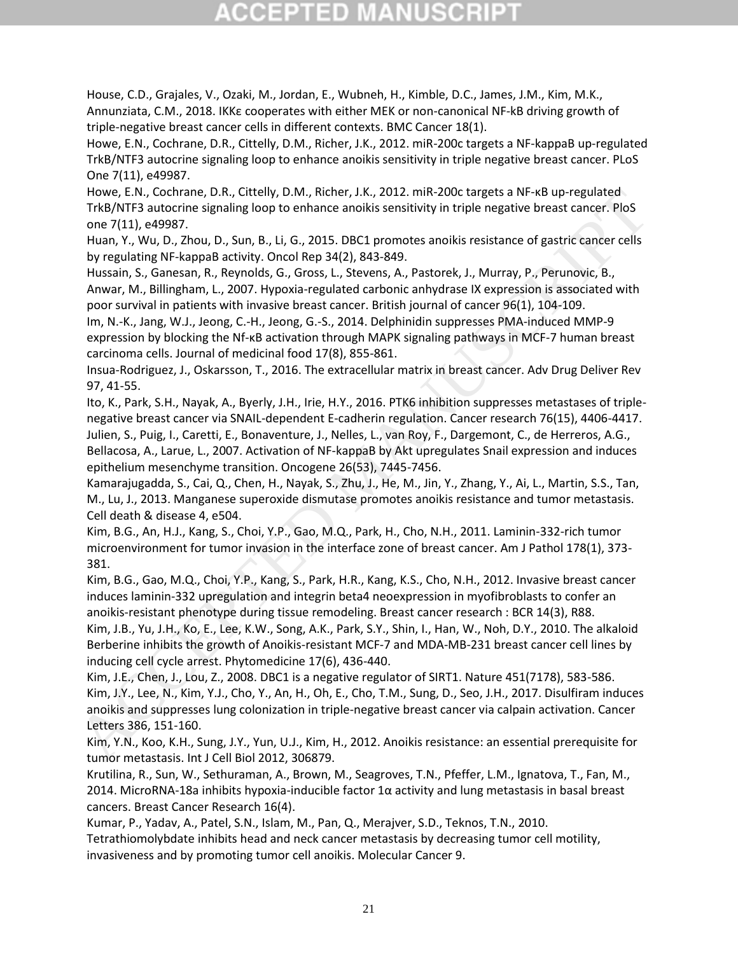# CCEPTED M

<span id="page-21-14"></span>House, C.D., Grajales, V., Ozaki, M., Jordan, E., Wubneh, H., Kimble, D.C., James, J.M., Kim, M.K., Annunziata, C.M., 2018. IKKε cooperates with either MEK or non-canonical NF-kB driving growth of triple-negative breast cancer cells in different contexts. BMC Cancer 18(1).

<span id="page-21-15"></span>Howe, E.N., Cochrane, D.R., Cittelly, D.M., Richer, J.K., 2012. miR-200c targets a NF-kappaB up-regulated TrkB/NTF3 autocrine signaling loop to enhance anoikis sensitivity in triple negative breast cancer. PLoS One 7(11), e49987.

<span id="page-21-1"></span>Howe, E.N., Cochrane, D.R., Cittelly, D.M., Richer, J.K., 2012. miR-200c targets a NF-κB up-regulated TrkB/NTF3 autocrine signaling loop to enhance anoikis sensitivity in triple negative breast cancer. PloS one 7(11), e49987.

<span id="page-21-5"></span>Huan, Y., Wu, D., Zhou, D., Sun, B., Li, G., 2015. DBC1 promotes anoikis resistance of gastric cancer cells by regulating NF-kappaB activity. Oncol Rep 34(2), 843-849.

<span id="page-21-8"></span>Hussain, S., Ganesan, R., Reynolds, G., Gross, L., Stevens, A., Pastorek, J., Murray, P., Perunovic, B., Anwar, M., Billingham, L., 2007. Hypoxia-regulated carbonic anhydrase IX expression is associated with poor survival in patients with invasive breast cancer. British journal of cancer 96(1), 104-109.

<span id="page-21-0"></span>Im, N.-K., Jang, W.J., Jeong, C.-H., Jeong, G.-S., 2014. Delphinidin suppresses PMA-induced MMP-9 expression by blocking the Nf-κB activation through MAPK signaling pathways in MCF-7 human breast carcinoma cells. Journal of medicinal food 17(8), 855-861.

<span id="page-21-9"></span><span id="page-21-7"></span>Insua-Rodriguez, J., Oskarsson, T., 2016. The extracellular matrix in breast cancer. Adv Drug Deliver Rev 97, 41-55.

Ito, K., Park, S.H., Nayak, A., Byerly, J.H., Irie, H.Y., 2016. PTK6 inhibition suppresses metastases of triplenegative breast cancer via SNAIL-dependent E-cadherin regulation. Cancer research 76(15), 4406-4417. Julien, S., Puig, I., Caretti, E., Bonaventure, J., Nelles, L., van Roy, F., Dargemont, C., de Herreros, A.G., Bellacosa, A., Larue, L., 2007. Activation of NF-kappaB by Akt upregulates Snail expression and induces epithelium mesenchyme transition. Oncogene 26(53), 7445-7456. Howe, E.N., Cochrane, D.R., Cittleliy, D.M., Richer, J.K., 2012. mik 2000: largets a NF-48 up-regulated<br>
TrkB/NFT3 autorcine signaling loop to enhance anoikis sensitivity in triple negative breast cancer. PloS<br>
Huan, Y., W

<span id="page-21-6"></span><span id="page-21-3"></span>Kamarajugadda, S., Cai, Q., Chen, H., Nayak, S., Zhu, J., He, M., Jin, Y., Zhang, Y., Ai, L., Martin, S.S., Tan, M., Lu, J., 2013. Manganese superoxide dismutase promotes anoikis resistance and tumor metastasis. Cell death & disease 4, e504.

<span id="page-21-11"></span>Kim, B.G., An, H.J., Kang, S., Choi, Y.P., Gao, M.Q., Park, H., Cho, N.H., 2011. Laminin-332-rich tumor microenvironment for tumor invasion in the interface zone of breast cancer. Am J Pathol 178(1), 373- 381.

<span id="page-21-10"></span>Kim, B.G., Gao, M.Q., Choi, Y.P., Kang, S., Park, H.R., Kang, K.S., Cho, N.H., 2012. Invasive breast cancer induces laminin-332 upregulation and integrin beta4 neoexpression in myofibroblasts to confer an anoikis-resistant phenotype during tissue remodeling. Breast cancer research : BCR 14(3), R88. Kim, J.B., Yu, J.H., Ko, E., Lee, K.W., Song, A.K., Park, S.Y., Shin, I., Han, W., Noh, D.Y., 2010. The alkaloid

<span id="page-21-17"></span>Berberine inhibits the growth of Anoikis-resistant MCF-7 and MDA-MB-231 breast cancer cell lines by inducing cell cycle arrest. Phytomedicine 17(6), 436-440.

<span id="page-21-13"></span><span id="page-21-4"></span>Kim, J.E., Chen, J., Lou, Z., 2008. DBC1 is a negative regulator of SIRT1. Nature 451(7178), 583-586. Kim, J.Y., Lee, N., Kim, Y.J., Cho, Y., An, H., Oh, E., Cho, T.M., Sung, D., Seo, J.H., 2017. Disulfiram induces anoikis and suppresses lung colonization in triple-negative breast cancer via calpain activation. Cancer Letters 386, 151-160.

<span id="page-21-2"></span>Kim, Y.N., Koo, K.H., Sung, J.Y., Yun, U.J., Kim, H., 2012. Anoikis resistance: an essential prerequisite for tumor metastasis. Int J Cell Biol 2012, 306879.

<span id="page-21-16"></span>Krutilina, R., Sun, W., Sethuraman, A., Brown, M., Seagroves, T.N., Pfeffer, L.M., Ignatova, T., Fan, M., 2014. MicroRNA-18a inhibits hypoxia-inducible factor 1α activity and lung metastasis in basal breast cancers. Breast Cancer Research 16(4).

<span id="page-21-12"></span>Kumar, P., Yadav, A., Patel, S.N., Islam, M., Pan, Q., Merajver, S.D., Teknos, T.N., 2010.

Tetrathiomolybdate inhibits head and neck cancer metastasis by decreasing tumor cell motility, invasiveness and by promoting tumor cell anoikis. Molecular Cancer 9.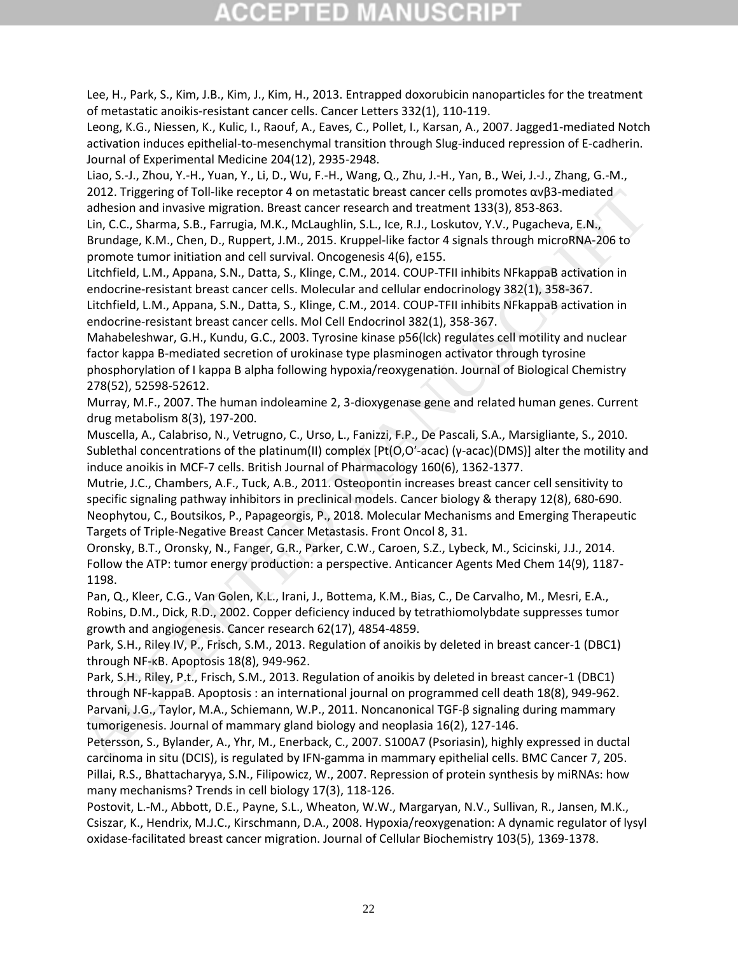# CGEPTED M

<span id="page-22-16"></span>Lee, H., Park, S., Kim, J.B., Kim, J., Kim, H., 2013. Entrapped doxorubicin nanoparticles for the treatment of metastatic anoikis-resistant cancer cells. Cancer Letters 332(1), 110-119.

<span id="page-22-11"></span>Leong, K.G., Niessen, K., Kulic, I., Raouf, A., Eaves, C., Pollet, I., Karsan, A., 2007. Jagged1-mediated Notch activation induces epithelial-to-mesenchymal transition through Slug-induced repression of E-cadherin. Journal of Experimental Medicine 204(12), 2935-2948.

<span id="page-22-7"></span>Liao, S.-J., Zhou, Y.-H., Yuan, Y., Li, D., Wu, F.-H., Wang, Q., Zhu, J.-H., Yan, B., Wei, J.-J., Zhang, G.-M., 2012. Triggering of Toll-like receptor 4 on metastatic breast cancer cells promotes  $\alpha \nu \beta$ 3-mediated adhesion and invasive migration. Breast cancer research and treatment 133(3), 853-863.

<span id="page-22-14"></span>Lin, C.C., Sharma, S.B., Farrugia, M.K., McLaughlin, S.L., Ice, R.J., Loskutov, Y.V., Pugacheva, E.N., Brundage, K.M., Chen, D., Ruppert, J.M., 2015. Kruppel-like factor 4 signals through microRNA-206 to promote tumor initiation and cell survival. Oncogenesis 4(6), e155.

<span id="page-22-1"></span>Litchfield, L.M., Appana, S.N., Datta, S., Klinge, C.M., 2014. COUP-TFII inhibits NFkappaB activation in endocrine-resistant breast cancer cells. Molecular and cellular endocrinology 382(1), 358-367.

<span id="page-22-2"></span>Litchfield, L.M., Appana, S.N., Datta, S., Klinge, C.M., 2014. COUP-TFII inhibits NFkappaB activation in endocrine-resistant breast cancer cells. Mol Cell Endocrinol 382(1), 358-367.

<span id="page-22-15"></span>Mahabeleshwar, G.H., Kundu, G.C., 2003. Tyrosine kinase p56(lck) regulates cell motility and nuclear factor kappa B-mediated secretion of urokinase type plasminogen activator through tyrosine phosphorylation of I kappa B alpha following hypoxia/reoxygenation. Journal of Biological Chemistry 278(52), 52598-52612.

<span id="page-22-5"></span>Murray, M.F., 2007. The human indoleamine 2, 3-dioxygenase gene and related human genes. Current drug metabolism 8(3), 197-200.

<span id="page-22-17"></span><span id="page-22-9"></span>Muscella, A., Calabriso, N., Vetrugno, C., Urso, L., Fanizzi, F.P., De Pascali, S.A., Marsigliante, S., 2010. Sublethal concentrations of the platinum(II) complex [Pt(O,O′-acac) (γ-acac)(DMS)] alter the motility and induce anoikis in MCF-7 cells. British Journal of Pharmacology 160(6), 1362-1377.

Mutrie, J.C., Chambers, A.F., Tuck, A.B., 2011. Osteopontin increases breast cancer cell sensitivity to specific signaling pathway inhibitors in preclinical models. Cancer biology & therapy 12(8), 680-690. Neophytou, C., Boutsikos, P., Papageorgis, P., 2018. Molecular Mechanisms and Emerging Therapeutic Targets of Triple-Negative Breast Cancer Metastasis. Front Oncol 8, 31. 2012. Triggeing of Toll-like receptor 4 on metalatiof breat cancer cells promotes owis-mediated<br>adhesion and invasive migration. Breast cancer research and treatment 133(3), 853-863.<br>Unid, C.C, Sharma, S.B., Farrugia, M.K.

<span id="page-22-12"></span><span id="page-22-0"></span>Oronsky, B.T., Oronsky, N., Fanger, G.R., Parker, C.W., Caroen, S.Z., Lybeck, M., Scicinski, J.J., 2014. Follow the ATP: tumor energy production: a perspective. Anticancer Agents Med Chem 14(9), 1187- 1198.

<span id="page-22-10"></span>Pan, Q., Kleer, C.G., Van Golen, K.L., Irani, J., Bottema, K.M., Bias, C., De Carvalho, M., Mesri, E.A., Robins, D.M., Dick, R.D., 2002. Copper deficiency induced by tetrathiomolybdate suppresses tumor growth and angiogenesis. Cancer research 62(17), 4854-4859.

Park, S.H., Riley IV, P., Frisch, S.M., 2013. Regulation of anoikis by deleted in breast cancer-1 (DBC1) through NF-κB. Apoptosis 18(8), 949-962.

<span id="page-22-6"></span><span id="page-22-4"></span>Park, S.H., Riley, P.t., Frisch, S.M., 2013. Regulation of anoikis by deleted in breast cancer-1 (DBC1) through NF-kappaB. Apoptosis : an international journal on programmed cell death 18(8), 949-962. Parvani, J.G., Taylor, M.A., Schiemann, W.P., 2011. Noncanonical TGF-β signaling during mammary tumorigenesis. Journal of mammary gland biology and neoplasia 16(2), 127-146.

<span id="page-22-13"></span><span id="page-22-3"></span>Petersson, S., Bylander, A., Yhr, M., Enerback, C., 2007. S100A7 (Psoriasin), highly expressed in ductal carcinoma in situ (DCIS), is regulated by IFN-gamma in mammary epithelial cells. BMC Cancer 7, 205. Pillai, R.S., Bhattacharyya, S.N., Filipowicz, W., 2007. Repression of protein synthesis by miRNAs: how many mechanisms? Trends in cell biology 17(3), 118-126.

<span id="page-22-8"></span>Postovit, L.-M., Abbott, D.E., Payne, S.L., Wheaton, W.W., Margaryan, N.V., Sullivan, R., Jansen, M.K., Csiszar, K., Hendrix, M.J.C., Kirschmann, D.A., 2008. Hypoxia/reoxygenation: A dynamic regulator of lysyl oxidase-facilitated breast cancer migration. Journal of Cellular Biochemistry 103(5), 1369-1378.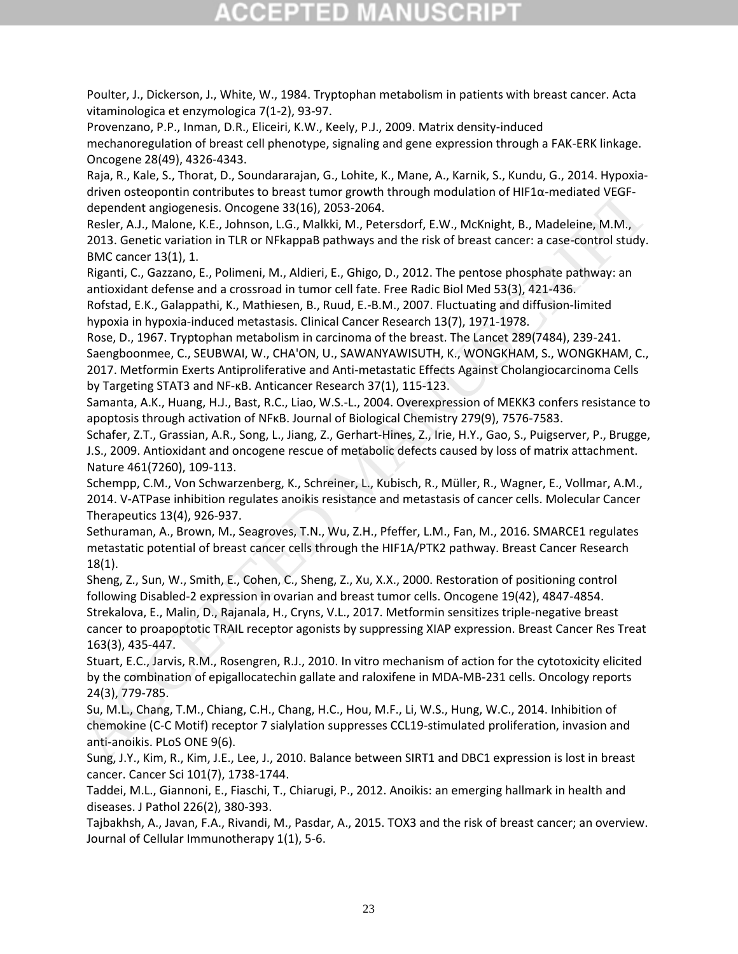<span id="page-23-5"></span>Poulter, J., Dickerson, J., White, W., 1984. Tryptophan metabolism in patients with breast cancer. Acta vitaminologica et enzymologica 7(1-2), 93-97.

<span id="page-23-13"></span>Provenzano, P.P., Inman, D.R., Eliceiri, K.W., Keely, P.J., 2009. Matrix density-induced mechanoregulation of breast cell phenotype, signaling and gene expression through a FAK-ERK linkage. Oncogene 28(49), 4326-4343.

<span id="page-23-9"></span>Raja, R., Kale, S., Thorat, D., Soundararajan, G., Lohite, K., Mane, A., Karnik, S., Kundu, G., 2014. Hypoxiadriven osteopontin contributes to breast tumor growth through modulation of HIF1α-mediated VEGFdependent angiogenesis. Oncogene 33(16), 2053-2064.

Resler, A.J., Malone, K.E., Johnson, L.G., Malkki, M., Petersdorf, E.W., McKnight, B., Madeleine, M.M., 2013. Genetic variation in TLR or NFkappaB pathways and the risk of breast cancer: a case-control study. BMC cancer 13(1), 1.

<span id="page-23-11"></span>Riganti, C., Gazzano, E., Polimeni, M., Aldieri, E., Ghigo, D., 2012. The pentose phosphate pathway: an antioxidant defense and a crossroad in tumor cell fate. Free Radic Biol Med 53(3), 421-436.

<span id="page-23-14"></span><span id="page-23-7"></span><span id="page-23-6"></span>Rofstad, E.K., Galappathi, K., Mathiesen, B., Ruud, E.-B.M., 2007. Fluctuating and diffusion-limited hypoxia in hypoxia-induced metastasis. Clinical Cancer Research 13(7), 1971-1978.

Rose, D., 1967. Tryptophan metabolism in carcinoma of the breast. The Lancet 289(7484), 239-241. Saengboonmee, C., SEUBWAI, W., CHA'ON, U., SAWANYAWISUTH, K., WONGKHAM, S., WONGKHAM, C., 2017. Metformin Exerts Antiproliferative and Anti-metastatic Effects Against Cholangiocarcinoma Cells by Targeting STAT3 and NF-ĸB. Anticancer Research 37(1), 115-123. diven one stoppening many and Michael breast turn of power literation of HiPIa-mediated VEGF-<br>Resier, A.J. Malone, K.E., Johnson, L.G., Malkki, M., Petersdorf, E.V., McKristh, B., Madeleline, M.M.,<br>2013. Genetic variation.

<span id="page-23-3"></span>Samanta, A.K., Huang, H.J., Bast, R.C., Liao, W.S.-L., 2004. Overexpression of MEKK3 confers resistance to apoptosis through activation of NFκB. Journal of Biological Chemistry 279(9), 7576-7583.

<span id="page-23-12"></span>Schafer, Z.T., Grassian, A.R., Song, L., Jiang, Z., Gerhart-Hines, Z., Irie, H.Y., Gao, S., Puigserver, P., Brugge, J.S., 2009. Antioxidant and oncogene rescue of metabolic defects caused by loss of matrix attachment. Nature 461(7260), 109-113.

<span id="page-23-17"></span>Schempp, C.M., Von Schwarzenberg, K., Schreiner, L., Kubisch, R., Müller, R., Wagner, E., Vollmar, A.M., 2014. V-ATPase inhibition regulates anoikis resistance and metastasis of cancer cells. Molecular Cancer Therapeutics 13(4), 926-937.

<span id="page-23-8"></span>Sethuraman, A., Brown, M., Seagroves, T.N., Wu, Z.H., Pfeffer, L.M., Fan, M., 2016. SMARCE1 regulates metastatic potential of breast cancer cells through the HIF1A/PTK2 pathway. Breast Cancer Research 18(1).

<span id="page-23-15"></span><span id="page-23-10"></span>Sheng, Z., Sun, W., Smith, E., Cohen, C., Sheng, Z., Xu, X.X., 2000. Restoration of positioning control following Disabled-2 expression in ovarian and breast tumor cells. Oncogene 19(42), 4847-4854. Strekalova, E., Malin, D., Rajanala, H., Cryns, V.L., 2017. Metformin sensitizes triple-negative breast cancer to proapoptotic TRAIL receptor agonists by suppressing XIAP expression. Breast Cancer Res Treat

<span id="page-23-1"></span>163(3), 435-447. Stuart, E.C., Jarvis, R.M., Rosengren, R.J., 2010. In vitro mechanism of action for the cytotoxicity elicited by the combination of epigallocatechin gallate and raloxifene in MDA-MB-231 cells. Oncology reports 24(3), 779-785.

<span id="page-23-16"></span>Su, M.L., Chang, T.M., Chiang, C.H., Chang, H.C., Hou, M.F., Li, W.S., Hung, W.C., 2014. Inhibition of chemokine (C-C Motif) receptor 7 sialylation suppresses CCL19-stimulated proliferation, invasion and anti-anoikis. PLoS ONE 9(6).

<span id="page-23-4"></span>Sung, J.Y., Kim, R., Kim, J.E., Lee, J., 2010. Balance between SIRT1 and DBC1 expression is lost in breast cancer. Cancer Sci 101(7), 1738-1744.

<span id="page-23-2"></span>Taddei, M.L., Giannoni, E., Fiaschi, T., Chiarugi, P., 2012. Anoikis: an emerging hallmark in health and diseases. J Pathol 226(2), 380-393.

<span id="page-23-0"></span>Tajbakhsh, A., Javan, F.A., Rivandi, M., Pasdar, A., 2015. TOX3 and the risk of breast cancer; an overview. Journal of Cellular Immunotherapy 1(1), 5-6.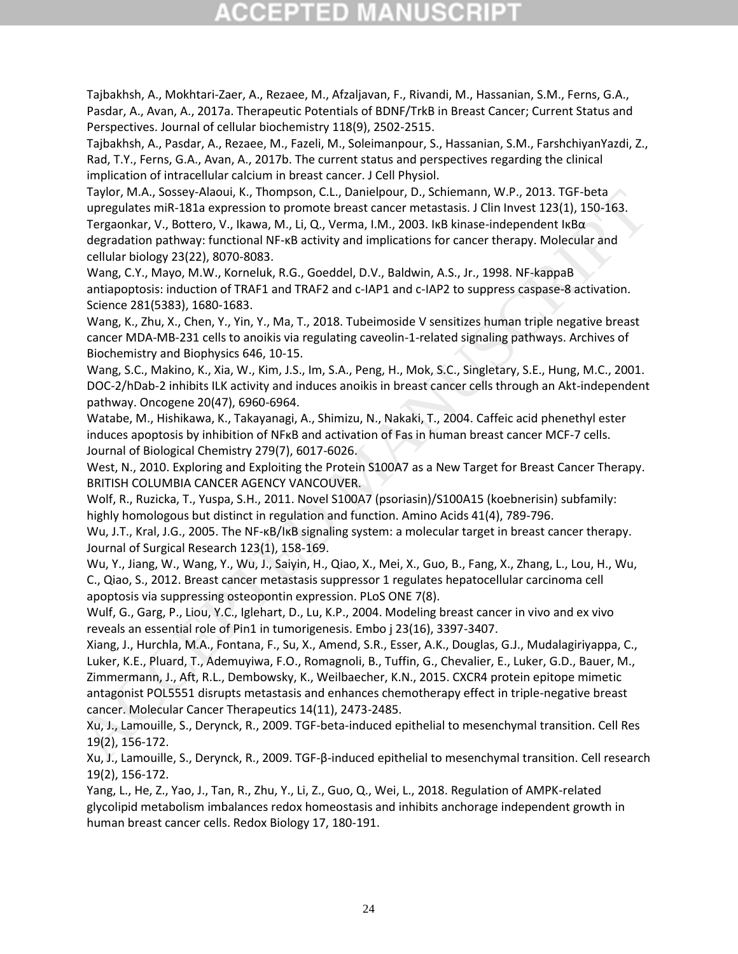# CGEPTED M

<span id="page-24-1"></span>Tajbakhsh, A., Mokhtari-Zaer, A., Rezaee, M., Afzaljavan, F., Rivandi, M., Hassanian, S.M., Ferns, G.A., Pasdar, A., Avan, A., 2017a. Therapeutic Potentials of BDNF/TrkB in Breast Cancer; Current Status and Perspectives. Journal of cellular biochemistry 118(9), 2502-2515.

<span id="page-24-5"></span>Tajbakhsh, A., Pasdar, A., Rezaee, M., Fazeli, M., Soleimanpour, S., Hassanian, S.M., FarshchiyanYazdi, Z., Rad, T.Y., Ferns, G.A., Avan, A., 2017b. The current status and perspectives regarding the clinical implication of intracellular calcium in breast cancer. J Cell Physiol.

<span id="page-24-14"></span>Taylor, M.A., Sossey-Alaoui, K., Thompson, C.L., Danielpour, D., Schiemann, W.P., 2013. TGF-beta upregulates miR-181a expression to promote breast cancer metastasis. J Clin Invest 123(1), 150-163. Tergaonkar, V., Bottero, V., Ikawa, M., Li, Q., Verma, I.M., 2003. IκB kinase-independent IκBα degradation pathway: functional NF-κB activity and implications for cancer therapy. Molecular and cellular biology 23(22), 8070-8083.

<span id="page-24-4"></span>Wang, C.Y., Mayo, M.W., Korneluk, R.G., Goeddel, D.V., Baldwin, A.S., Jr., 1998. NF-kappaB antiapoptosis: induction of TRAF1 and TRAF2 and c-IAP1 and c-IAP2 to suppress caspase-8 activation. Science 281(5383), 1680-1683.

<span id="page-24-15"></span>Wang, K., Zhu, X., Chen, Y., Yin, Y., Ma, T., 2018. Tubeimoside V sensitizes human triple negative breast cancer MDA-MB-231 cells to anoikis via regulating caveolin-1-related signaling pathways. Archives of Biochemistry and Biophysics 646, 10-15.

<span id="page-24-11"></span>Wang, S.C., Makino, K., Xia, W., Kim, J.S., Im, S.A., Peng, H., Mok, S.C., Singletary, S.E., Hung, M.C., 2001. DOC-2/hDab-2 inhibits ILK activity and induces anoikis in breast cancer cells through an Akt-independent pathway. Oncogene 20(47), 6960-6964.

<span id="page-24-2"></span>Watabe, M., Hishikawa, K., Takayanagi, A., Shimizu, N., Nakaki, T., 2004. Caffeic acid phenethyl ester induces apoptosis by inhibition of NFκB and activation of Fas in human breast cancer MCF-7 cells. Journal of Biological Chemistry 279(7), 6017-6026.

<span id="page-24-7"></span>West, N., 2010. Exploring and Exploiting the Protein S100A7 as a New Target for Breast Cancer Therapy. BRITISH COLUMBIA CANCER AGENCY VANCOUVER.

<span id="page-24-6"></span>Wolf, R., Ruzicka, T., Yuspa, S.H., 2011. Novel S100A7 (psoriasin)/S100A15 (koebnerisin) subfamily: highly homologous but distinct in regulation and function. Amino Acids 41(4), 789-796.

<span id="page-24-0"></span>Wu, J.T., Kral, J.G., 2005. The NF-κB/IκB signaling system: a molecular target in breast cancer therapy. Journal of Surgical Research 123(1), 158-169.

<span id="page-24-10"></span>Wu, Y., Jiang, W., Wang, Y., Wu, J., Saiyin, H., Qiao, X., Mei, X., Guo, B., Fang, X., Zhang, L., Lou, H., Wu, C., Qiao, S., 2012. Breast cancer metastasis suppressor 1 regulates hepatocellular carcinoma cell apoptosis via suppressing osteopontin expression. PLoS ONE 7(8).

<span id="page-24-16"></span><span id="page-24-13"></span>Wulf, G., Garg, P., Liou, Y.C., Iglehart, D., Lu, K.P., 2004. Modeling breast cancer in vivo and ex vivo reveals an essential role of Pin1 in tumorigenesis. Embo j 23(16), 3397-3407.

<span id="page-24-3"></span>Xiang, J., Hurchla, M.A., Fontana, F., Su, X., Amend, S.R., Esser, A.K., Douglas, G.J., Mudalagiriyappa, C., Luker, K.E., Pluard, T., Ademuyiwa, F.O., Romagnoli, B., Tuffin, G., Chevalier, E., Luker, G.D., Bauer, M., Zimmermann, J., Aft, R.L., Dembowsky, K., Weilbaecher, K.N., 2015. CXCR4 protein epitope mimetic antagonist POL5551 disrupts metastasis and enhances chemotherapy effect in triple-negative breast cancer. Molecular Cancer Therapeutics 14(11), 2473-2485. Taylor, M.A., Sossey-Alaoni, K., Thompson, C.L., Danielpour, D., Schiemainn, W.P., 2013. TGF-bela<br>
upregulates miR-181a expression to promote breast cancer metastasis. J. Clin Invest 123(1), 159-165.<br>
Tergaonkar, V., Botte

<span id="page-24-9"></span>Xu, J., Lamouille, S., Derynck, R., 2009. TGF-beta-induced epithelial to mesenchymal transition. Cell Res 19(2), 156-172.

<span id="page-24-8"></span>Xu, J., Lamouille, S., Derynck, R., 2009. TGF-β-induced epithelial to mesenchymal transition. Cell research 19(2), 156-172.

<span id="page-24-12"></span>Yang, L., He, Z., Yao, J., Tan, R., Zhu, Y., Li, Z., Guo, Q., Wei, L., 2018. Regulation of AMPK-related glycolipid metabolism imbalances redox homeostasis and inhibits anchorage independent growth in human breast cancer cells. Redox Biology 17, 180-191.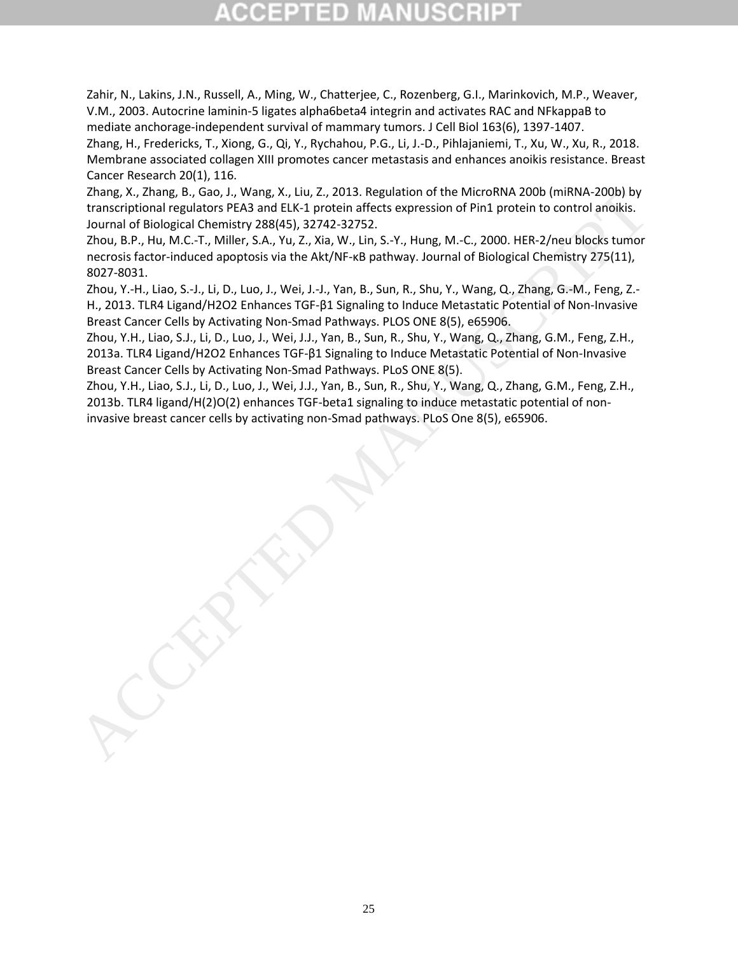<span id="page-25-0"></span>Zahir, N., Lakins, J.N., Russell, A., Ming, W., Chatterjee, C., Rozenberg, G.I., Marinkovich, M.P., Weaver, V.M., 2003. Autocrine laminin-5 ligates alpha6beta4 integrin and activates RAC and NFkappaB to mediate anchorage-independent survival of mammary tumors. J Cell Biol 163(6), 1397-1407.

<span id="page-25-5"></span>Zhang, H., Fredericks, T., Xiong, G., Qi, Y., Rychahou, P.G., Li, J.-D., Pihlajaniemi, T., Xu, W., Xu, R., 2018. Membrane associated collagen XIII promotes cancer metastasis and enhances anoikis resistance. Breast Cancer Research 20(1), 116.

<span id="page-25-6"></span>Zhang, X., Zhang, B., Gao, J., Wang, X., Liu, Z., 2013. Regulation of the MicroRNA 200b (miRNA-200b) by transcriptional regulators PEA3 and ELK-1 protein affects expression of Pin1 protein to control anoikis. Journal of Biological Chemistry 288(45), 32742-32752.

<span id="page-25-4"></span>Zhou, B.P., Hu, M.C.-T., Miller, S.A., Yu, Z., Xia, W., Lin, S.-Y., Hung, M.-C., 2000. HER-2/neu blocks tumor necrosis factor-induced apoptosis via the Akt/NF-κB pathway. Journal of Biological Chemistry 275(11), 8027-8031.

<span id="page-25-3"></span><span id="page-25-2"></span>Zhou, Y.-H., Liao, S.-J., Li, D., Luo, J., Wei, J.-J., Yan, B., Sun, R., Shu, Y., Wang, Q., Zhang, G.-M., Feng, Z.- H., 2013. TLR4 Ligand/H2O2 Enhances TGF-β1 Signaling to Induce Metastatic Potential of Non-Invasive Breast Cancer Cells by Activating Non-Smad Pathways. PLOS ONE 8(5), e65906.

Zhou, Y.H., Liao, S.J., Li, D., Luo, J., Wei, J.J., Yan, B., Sun, R., Shu, Y., Wang, Q., Zhang, G.M., Feng, Z.H., 2013a. TLR4 Ligand/H2O2 Enhances TGF-β1 Signaling to Induce Metastatic Potential of Non-Invasive Breast Cancer Cells by Activating Non-Smad Pathways. PLoS ONE 8(5). Zhang, B., Gao, J., Wang, X., Ziu 3. Regulation of the Microsoft A200 invisible income is flactor and Falcological Chemistry 286(55), 20213. PLost, B.P., Hung, M.C., 2000. HER-2/neu blocks tunnor of Biological Chemistry 2

<span id="page-25-1"></span>Zhou, Y.H., Liao, S.J., Li, D., Luo, J., Wei, J.J., Yan, B., Sun, R., Shu, Y., Wang, Q., Zhang, G.M., Feng, Z.H., 2013b. TLR4 ligand/H(2)O(2) enhances TGF-beta1 signaling to induce metastatic potential of non-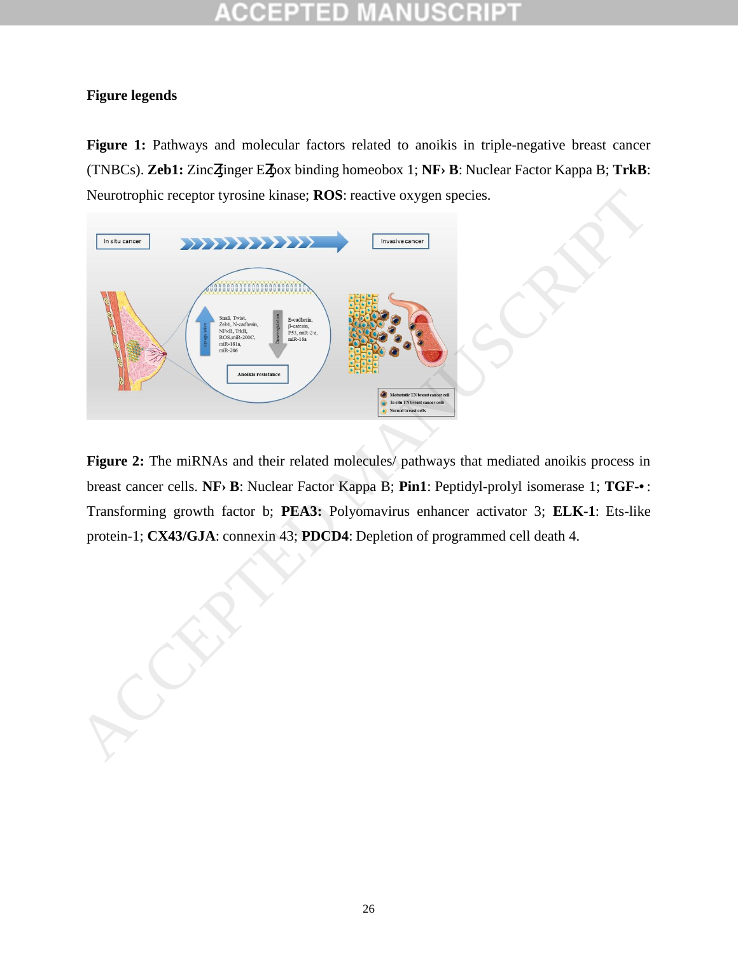#### COEP  $\Box$  D

### **Figure legends**

Figure 1: Pathways and molecular factors related to anoikis in triple-negative breast cancer (TNBCs). **Zeb1:** Zinc finger E box binding homeobox 1; **NF B**: Nuclear Factor Kappa B; TrkB: Neurotrophic receptor tyrosine kinase; **ROS**: reactive oxygen species.



Figure 2: The miRNAs and their related molecules/ pathways that mediated anoikis process in breast cancer cells. **NF B**: Nuclear Factor Kappa B; **Pin1**: Peptidyl-prolyl isomerase 1; **TGF-** : Transforming growth factor b; **PEA3:** Polyomavirus enhancer activator 3; **ELK-1**: Ets-like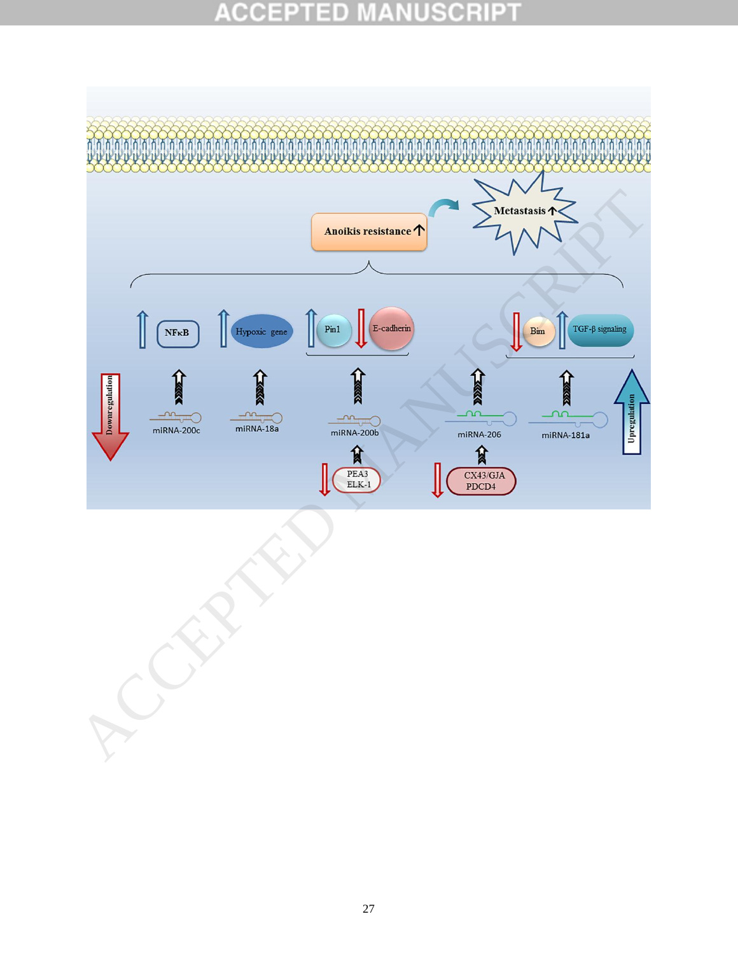# **ACCEPTED MANUSCRIPT**



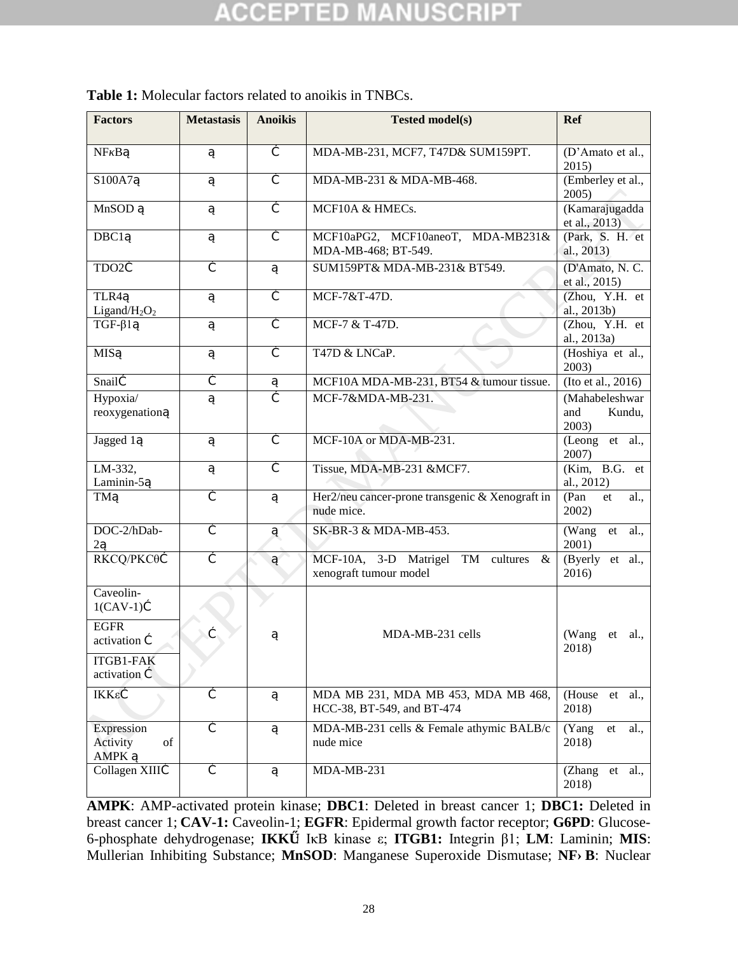| <b>Factors</b>                               | <b>Metastasis</b> | <b>Anoikis</b> | <b>Tested model(s)</b>                                                 | <b>Ref</b>                               |  |
|----------------------------------------------|-------------------|----------------|------------------------------------------------------------------------|------------------------------------------|--|
| NF B                                         |                   |                | MDA-MB-231, MCF7, T47D& SUM159PT.                                      | (D'Amato et al.,<br>2015)                |  |
| S100A7                                       |                   |                | MDA-MB-231 & MDA-MB-468.                                               | (Emberley et al.,<br>$2005$ )            |  |
| <b>MnSOD</b>                                 |                   |                | MCF10A & HMECs.                                                        | (Kamarajugadda<br>et al., 2013)          |  |
| $\overline{DBC1}$                            |                   |                | MCF10aPG2, MCF10aneoT, MDA-MB231&<br>MDA-MB-468; BT-549.               | (Park, S. H. et<br>al., 2013)            |  |
| TDO <sub>2</sub>                             |                   |                | SUM159PT& MDA-MB-231& BT549.                                           | (D'Amato, N. C.<br>et al., 2015)         |  |
| TLR4<br>Ligand/H <sub>2</sub> O <sub>2</sub> |                   |                | MCF-7&T-47D.                                                           | (Zhou, Y.H. et<br>al., 2013b)            |  |
| $TGF-\beta1$                                 |                   |                | MCF-7 & T-47D.                                                         | (Zhou, Y.H. et<br>al., 2013a)            |  |
| <b>MIS</b>                                   |                   |                | T47D & LNCaP.                                                          | (Hoshiya et al.,<br>2003)                |  |
| Snail                                        |                   |                | MCF10A MDA-MB-231, BT54 & tumour tissue.                               | (Ito et al., 2016)                       |  |
| Hypoxia/<br>reoxygenation                    |                   |                | MCF-7&MDA-MB-231.                                                      | (Mahabeleshwar<br>Kundu,<br>and<br>2003) |  |
| Jagged 1                                     |                   |                | MCF-10A or MDA-MB-231.                                                 | (Leong et al.,<br>2007)                  |  |
| LM-332,<br>Laminin-5                         |                   |                | Tissue, MDA-MB-231 &MCF7.                                              | (Kim, B.G. et<br>al., 2012)              |  |
| <b>TM</b>                                    |                   |                | Her2/neu cancer-prone transgenic & Xenograft in<br>nude mice.          | (Pan<br>al.,<br>et<br>2002)              |  |
| DOC-2/hDab-<br>$\overline{2}$                |                   |                | SK-BR-3 & MDA-MB-453.                                                  | (Wang et<br>al.,<br>2001)                |  |
| RKCQ/PKCθ                                    |                   |                | MCF-10A, 3-D Matrigel<br>TM cultures<br>$\&$<br>xenograft tumour model | (Byerly et al.,<br>2016)                 |  |
| Caveolin-<br>$1(CAV-1)$                      |                   |                |                                                                        |                                          |  |
| <b>EGFR</b><br>activation                    |                   |                | MDA-MB-231 cells                                                       | (Wang et al.,<br>2018)                   |  |
| ITGB1-FAK<br>activation                      |                   |                |                                                                        |                                          |  |
| IKKε                                         |                   |                | MDA MB 231, MDA MB 453, MDA MB 468,<br>HCC-38, BT-549, and BT-474      | (House<br>et al.,<br>2018)               |  |
| Expression<br>of<br>Activity<br><b>AMPK</b>  |                   |                | MDA-MB-231 cells & Female athymic BALB/c<br>nude mice                  | (Yang<br>al.,<br>et<br>2018)             |  |
| Collagen XIII                                |                   |                | MDA-MB-231                                                             | (Zhang<br>et<br>al.,<br>2018)            |  |

| <b>Table 1:</b> Molecular factors related to anoikis in TNBCs. |  |
|----------------------------------------------------------------|--|
|----------------------------------------------------------------|--|

**AMPK**: AMP-activated protein kinase; **DBC1**: Deleted in breast cancer 1; **DBC1:** Deleted in breast cancer 1; **CAV-1:** Caveolin-1; **EGFR**: Epidermal growth factor receptor; **G6PD**: Glucose-6-phosphate dehydrogenase; **IKKε**: IκB kinase ε; **ITGB1:** Integrin β1; **LM**: Laminin; **MIS**: Mullerian Inhibiting Substance; MnSOD: Manganese Superoxide Dismutase; NF B: Nuclear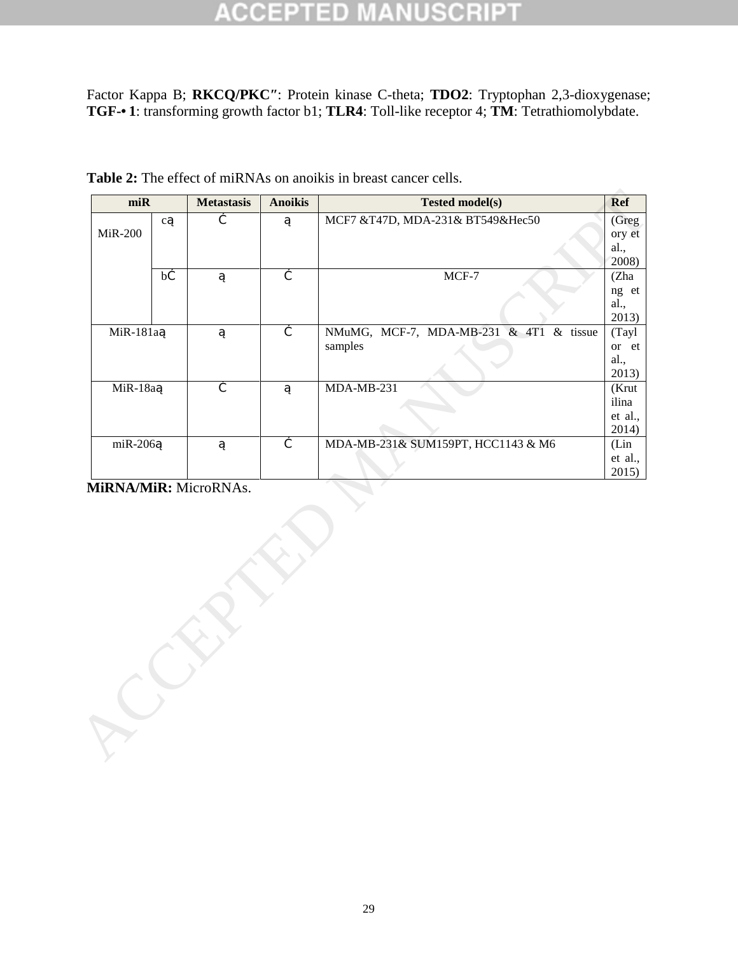#### CCEPTED 30 R B U,

Factor Kappa B; **RKCQ/PKC**: Protein kinase C-theta; **TDO2**: Tryptophan 2,3-dioxygenase; TGF- 1: transforming growth factor b1; TLR4: Toll-like receptor 4; **TM**: Tetrathiomolybdate.

| $m$ i $R$  |              | <b>Metastasis</b> | <b>Anoikis</b> | <b>Tested model(s)</b>                  | <b>Ref</b>     |
|------------|--------------|-------------------|----------------|-----------------------------------------|----------------|
|            | $\mathbf{C}$ |                   |                | MCF7 &T47D, MDA-231& BT549&Hec50        | (Greg          |
| MiR-200    |              |                   |                |                                         | ory et         |
|            |              |                   |                |                                         | al.,           |
|            |              |                   |                |                                         | 2008)          |
|            | $\bf b$      |                   |                | MCF-7                                   | (Zha           |
|            |              |                   |                |                                         | ng et          |
|            |              |                   |                |                                         | al.,           |
|            |              |                   |                |                                         | 2013)          |
| MiR-181a   |              |                   |                | NMuMG, MCF-7, MDA-MB-231 & 4T1 & tissue | (Tayl          |
|            |              |                   |                | samples                                 | or et          |
|            |              |                   |                |                                         | al.,           |
| MiR-18a    |              |                   |                | $MDA-MB-231$                            | 2013)<br>(Krut |
|            |              |                   |                |                                         | ilina          |
|            |              |                   |                |                                         | et al.,        |
|            |              |                   |                |                                         | 2014)          |
| $m$ iR-206 |              |                   |                | MDA-MB-231& SUM159PT, HCC1143 & M6      | (Lin           |
|            |              |                   |                |                                         | et al.,        |
|            |              |                   |                |                                         | 2015)          |
|            |              |                   |                |                                         |                |
|            |              |                   |                |                                         |                |

**Table 2:** The effect of miRNAs on anoikis in breast cancer cells.

29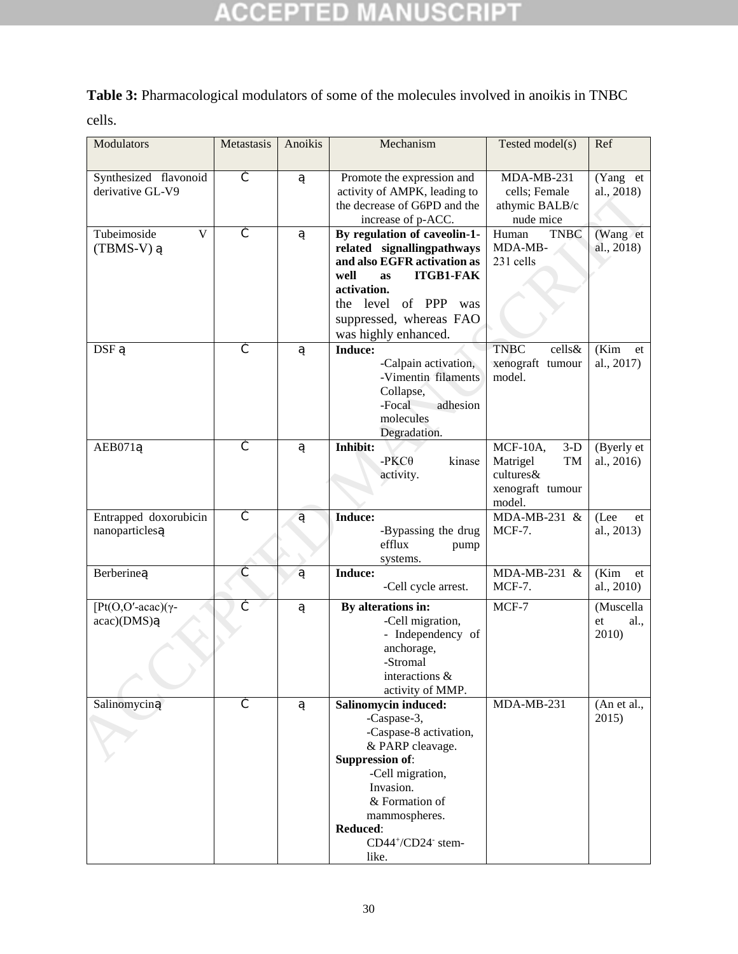# **ACCEPTED MANUSCRIPT**

### **Table 3:** Pharmacological modulators of some of the molecules involved in anoikis in TNBC

cells.

| Modulators                                | Metastasis | Anoikis | Mechanism                                                    | Tested model(s)                              | Ref                      |
|-------------------------------------------|------------|---------|--------------------------------------------------------------|----------------------------------------------|--------------------------|
| Synthesized flavonoid<br>derivative GL-V9 |            |         | Promote the expression and                                   | MDA-MB-231                                   | (Yang et                 |
|                                           |            |         | activity of AMPK, leading to<br>the decrease of G6PD and the | cells; Female<br>athymic BALB/c<br>nude mice | al., 2018)               |
| Tubeimoside<br>V                          |            |         | increase of p-ACC.<br>By regulation of caveolin-1-           | Human<br><b>TNBC</b>                         | (Wang et                 |
| $(TBMS-V)$                                |            |         | related signallingpathways                                   | MDA-MB-                                      | al., 2018)               |
|                                           |            |         | and also EGFR activation as                                  | 231 cells                                    |                          |
|                                           |            |         | <b>ITGB1-FAK</b><br>well<br><b>as</b>                        |                                              |                          |
|                                           |            |         | activation.                                                  |                                              |                          |
|                                           |            |         | the level of PPP<br>was                                      |                                              |                          |
|                                           |            |         | suppressed, whereas FAO                                      |                                              |                          |
|                                           |            |         | was highly enhanced.                                         |                                              |                          |
| <b>DSF</b>                                |            |         | Induce:<br>-Calpain activation,                              | <b>TNBC</b><br>cells&<br>xenograft tumour    | (Kim<br>et<br>al., 2017) |
|                                           |            |         | -Vimentin filaments                                          | model.                                       |                          |
|                                           |            |         | Collapse,                                                    |                                              |                          |
|                                           |            |         | -Focal<br>adhesion                                           |                                              |                          |
|                                           |            |         | molecules                                                    |                                              |                          |
|                                           |            |         | Degradation.                                                 |                                              |                          |
| AEB071                                    |            |         | Inhibit:                                                     | $MCF-10A$ ,<br>$3-D$                         | (Byerly et               |
|                                           |            |         | $-PKC\theta$<br>kinase                                       | Matrigel<br>TM<br>cultures&                  | al., 2016)               |
|                                           |            |         | activity.                                                    | xenograft tumour                             |                          |
|                                           |            |         |                                                              | model.                                       |                          |
| Entrapped doxorubicin                     |            |         | Induce:                                                      | MDA-MB-231 &                                 | (Lee<br>et               |
| nanoparticles                             |            |         | -Bypassing the drug                                          | <b>MCF-7.</b>                                | al., 2013)               |
|                                           |            |         | efflux<br>pump<br>systems.                                   |                                              |                          |
| Berberine                                 |            |         | Induce:                                                      | MDA-MB-231 &                                 | (Kim)<br>et              |
|                                           |            |         | -Cell cycle arrest.                                          | <b>MCF-7.</b>                                | al., 2010)               |
| [ $Pt(O,O'-acac)(\gamma-$                 |            |         | By alterations in:                                           | $MCF-7$                                      | (Muscella                |
| acac)(DMS)                                |            |         | -Cell migration,                                             |                                              | al.,<br>et               |
|                                           |            |         | - Independency of                                            |                                              | 2010)                    |
|                                           |            |         | anchorage,<br>-Stromal                                       |                                              |                          |
|                                           |            |         | interactions &                                               |                                              |                          |
|                                           |            |         | activity of MMP.                                             |                                              |                          |
| Salinomycin                               |            |         | Salinomycin induced:                                         | $MDA-MB-231$                                 | (An et al.,              |
|                                           |            |         | -Caspase-3,                                                  |                                              | 2015)                    |
|                                           |            |         | -Caspase-8 activation,                                       |                                              |                          |
|                                           |            |         | & PARP cleavage.                                             |                                              |                          |
|                                           |            |         | <b>Suppression of:</b>                                       |                                              |                          |
|                                           |            |         | -Cell migration,<br>Invasion.                                |                                              |                          |
|                                           |            |         | & Formation of                                               |                                              |                          |
|                                           |            |         | mammospheres.                                                |                                              |                          |
|                                           |            |         | Reduced:                                                     |                                              |                          |
|                                           |            |         | CD44+/CD24- stem-                                            |                                              |                          |
|                                           |            |         | like.                                                        |                                              |                          |